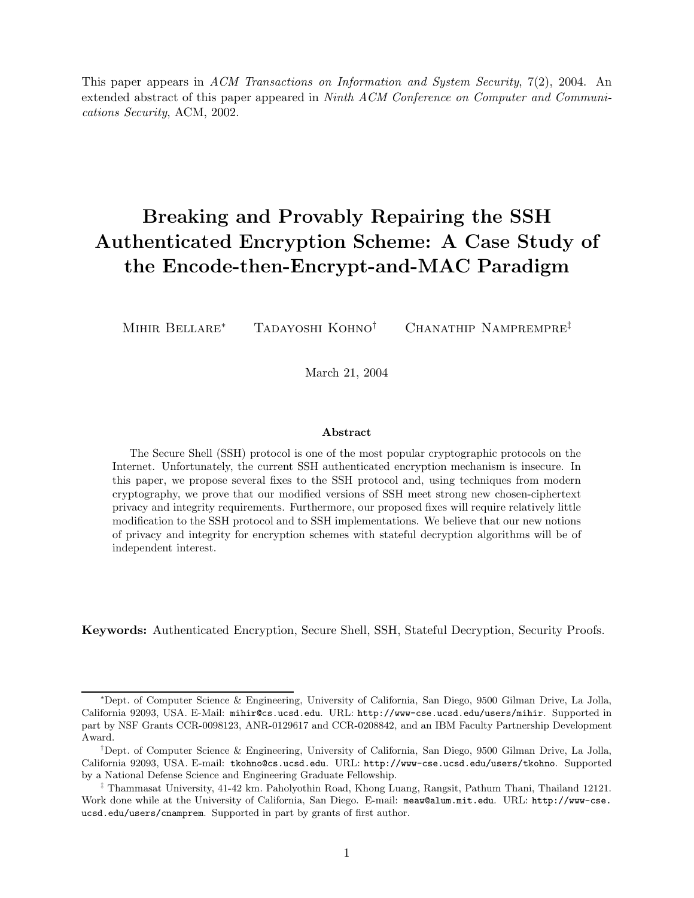This paper appears in ACM Transactions on Information and System Security, 7(2), 2004. An extended abstract of this paper appeared in Ninth ACM Conference on Computer and Communications Security, ACM, 2002.

# Breaking and Provably Repairing the SSH Authenticated Encryption Scheme: A Case Study of the Encode-then-Encrypt-and-MAC Paradigm

Mihir Bellare<sup>∗</sup> Tadayoshi Kohno† Chanathip Namprempre‡

March 21, 2004

#### Abstract

The Secure Shell (SSH) protocol is one of the most popular cryptographic protocols on the Internet. Unfortunately, the current SSH authenticated encryption mechanism is insecure. In this paper, we propose several fixes to the SSH protocol and, using techniques from modern cryptography, we prove that our modified versions of SSH meet strong new chosen-ciphertext privacy and integrity requirements. Furthermore, our proposed fixes will require relatively little modification to the SSH protocol and to SSH implementations. We believe that our new notions of privacy and integrity for encryption schemes with stateful decryption algorithms will be of independent interest.

Keywords: Authenticated Encryption, Secure Shell, SSH, Stateful Decryption, Security Proofs.

<sup>∗</sup>Dept. of Computer Science & Engineering, University of California, San Diego, 9500 Gilman Drive, La Jolla, California 92093, USA. E-Mail: mihir@cs.ucsd.edu. URL: http://www-cse.ucsd.edu/users/mihir. Supported in part by NSF Grants CCR-0098123, ANR-0129617 and CCR-0208842, and an IBM Faculty Partnership Development Award.

<sup>†</sup>Dept. of Computer Science & Engineering, University of California, San Diego, 9500 Gilman Drive, La Jolla, California 92093, USA. E-mail: tkohno@cs.ucsd.edu. URL: http://www-cse.ucsd.edu/users/tkohno. Supported by a National Defense Science and Engineering Graduate Fellowship.

<sup>‡</sup> Thammasat University, 41-42 km. Paholyothin Road, Khong Luang, Rangsit, Pathum Thani, Thailand 12121. Work done while at the University of California, San Diego. E-mail: meaw@alum.mit.edu. URL: http://www-cse. ucsd.edu/users/cnamprem. Supported in part by grants of first author.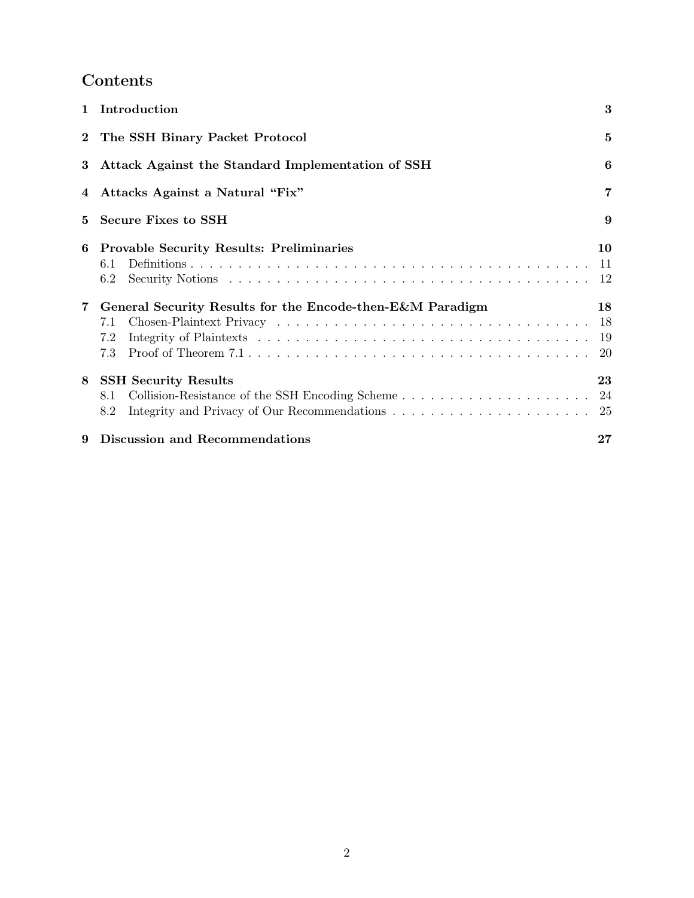# Contents

| $\mathbf{1}$ | Introduction                                                                   | 3                     |  |
|--------------|--------------------------------------------------------------------------------|-----------------------|--|
| $\bf{2}$     | The SSH Binary Packet Protocol                                                 | 5                     |  |
| 3            | Attack Against the Standard Implementation of SSH                              |                       |  |
|              | 7<br>Attacks Against a Natural "Fix"                                           |                       |  |
| 5            | <b>Secure Fixes to SSH</b>                                                     | 9                     |  |
| 6            | <b>Provable Security Results: Preliminaries</b><br>6.1<br>6.2                  | 10<br>11<br>12        |  |
| 7            | General Security Results for the Encode-then-E&M Paradigm<br>7.1<br>7.2<br>7.3 | 18<br>18<br>-19<br>20 |  |
| 8            | <b>SSH Security Results</b><br>8.1<br>8.2                                      | 23<br>25              |  |
| 9            | Discussion and Recommendations                                                 | $\bf 27$              |  |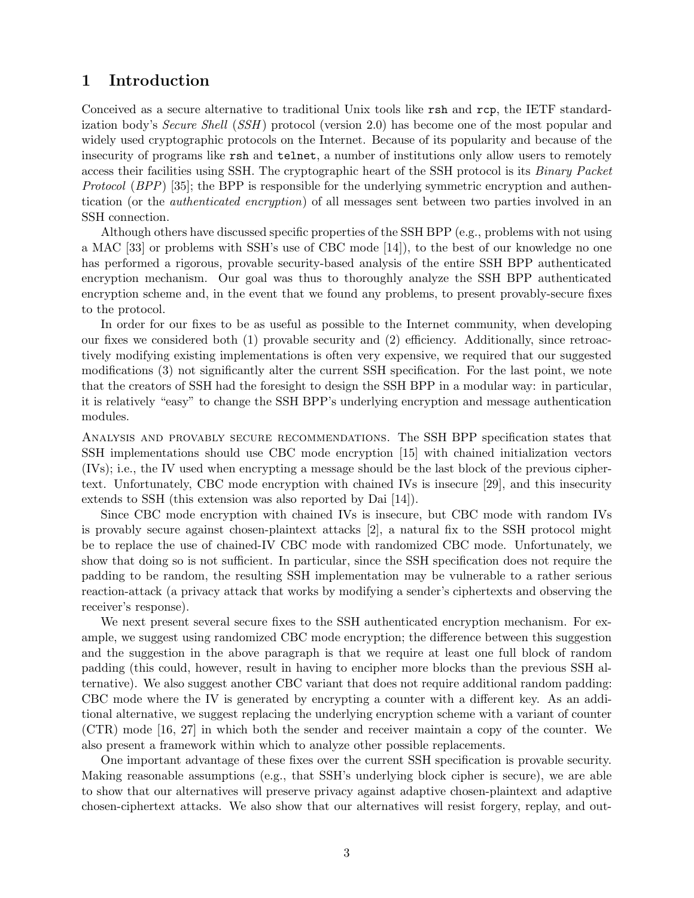## 1 Introduction

Conceived as a secure alternative to traditional Unix tools like rsh and rcp, the IETF standardization body's *Secure Shell* (*SSH*) protocol (version 2.0) has become one of the most popular and widely used cryptographic protocols on the Internet. Because of its popularity and because of the insecurity of programs like rsh and telnet, a number of institutions only allow users to remotely access their facilities using SSH. The cryptographic heart of the SSH protocol is its Binary Packet Protocol (BPP) [35]; the BPP is responsible for the underlying symmetric encryption and authentication (or the authenticated encryption) of all messages sent between two parties involved in an SSH connection.

Although others have discussed specific properties of the SSH BPP (e.g., problems with not using a MAC [33] or problems with SSH's use of CBC mode [14]), to the best of our knowledge no one has performed a rigorous, provable security-based analysis of the entire SSH BPP authenticated encryption mechanism. Our goal was thus to thoroughly analyze the SSH BPP authenticated encryption scheme and, in the event that we found any problems, to present provably-secure fixes to the protocol.

In order for our fixes to be as useful as possible to the Internet community, when developing our fixes we considered both (1) provable security and (2) efficiency. Additionally, since retroactively modifying existing implementations is often very expensive, we required that our suggested modifications (3) not significantly alter the current SSH specification. For the last point, we note that the creators of SSH had the foresight to design the SSH BPP in a modular way: in particular, it is relatively "easy" to change the SSH BPP's underlying encryption and message authentication modules.

Analysis and provably secure recommendations. The SSH BPP specification states that SSH implementations should use CBC mode encryption [15] with chained initialization vectors (IVs); i.e., the IV used when encrypting a message should be the last block of the previous ciphertext. Unfortunately, CBC mode encryption with chained IVs is insecure [29], and this insecurity extends to SSH (this extension was also reported by Dai [14]).

Since CBC mode encryption with chained IVs is insecure, but CBC mode with random IVs is provably secure against chosen-plaintext attacks [2], a natural fix to the SSH protocol might be to replace the use of chained-IV CBC mode with randomized CBC mode. Unfortunately, we show that doing so is not sufficient. In particular, since the SSH specification does not require the padding to be random, the resulting SSH implementation may be vulnerable to a rather serious reaction-attack (a privacy attack that works by modifying a sender's ciphertexts and observing the receiver's response).

We next present several secure fixes to the SSH authenticated encryption mechanism. For example, we suggest using randomized CBC mode encryption; the difference between this suggestion and the suggestion in the above paragraph is that we require at least one full block of random padding (this could, however, result in having to encipher more blocks than the previous SSH alternative). We also suggest another CBC variant that does not require additional random padding: CBC mode where the IV is generated by encrypting a counter with a different key. As an additional alternative, we suggest replacing the underlying encryption scheme with a variant of counter (CTR) mode [16, 27] in which both the sender and receiver maintain a copy of the counter. We also present a framework within which to analyze other possible replacements.

One important advantage of these fixes over the current SSH specification is provable security. Making reasonable assumptions (e.g., that SSH's underlying block cipher is secure), we are able to show that our alternatives will preserve privacy against adaptive chosen-plaintext and adaptive chosen-ciphertext attacks. We also show that our alternatives will resist forgery, replay, and out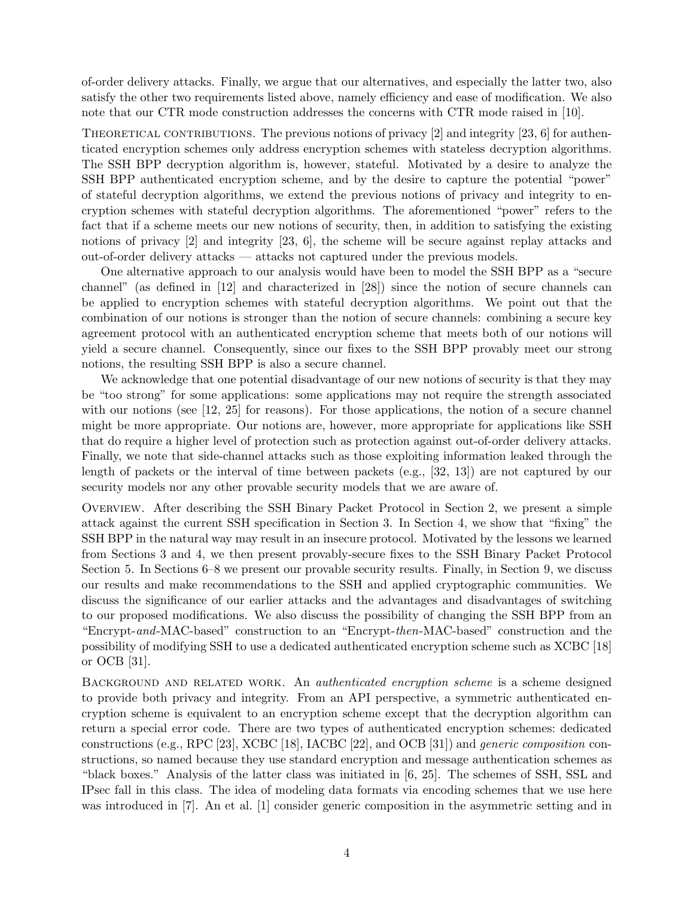of-order delivery attacks. Finally, we argue that our alternatives, and especially the latter two, also satisfy the other two requirements listed above, namely efficiency and ease of modification. We also note that our CTR mode construction addresses the concerns with CTR mode raised in [10].

THEORETICAL CONTRIBUTIONS. The previous notions of privacy  $[2]$  and integrity  $[23, 6]$  for authenticated encryption schemes only address encryption schemes with stateless decryption algorithms. The SSH BPP decryption algorithm is, however, stateful. Motivated by a desire to analyze the SSH BPP authenticated encryption scheme, and by the desire to capture the potential "power" of stateful decryption algorithms, we extend the previous notions of privacy and integrity to encryption schemes with stateful decryption algorithms. The aforementioned "power" refers to the fact that if a scheme meets our new notions of security, then, in addition to satisfying the existing notions of privacy [2] and integrity [23, 6], the scheme will be secure against replay attacks and out-of-order delivery attacks — attacks not captured under the previous models.

One alternative approach to our analysis would have been to model the SSH BPP as a "secure channel" (as defined in [12] and characterized in [28]) since the notion of secure channels can be applied to encryption schemes with stateful decryption algorithms. We point out that the combination of our notions is stronger than the notion of secure channels: combining a secure key agreement protocol with an authenticated encryption scheme that meets both of our notions will yield a secure channel. Consequently, since our fixes to the SSH BPP provably meet our strong notions, the resulting SSH BPP is also a secure channel.

We acknowledge that one potential disadvantage of our new notions of security is that they may be "too strong" for some applications: some applications may not require the strength associated with our notions (see [12, 25] for reasons). For those applications, the notion of a secure channel might be more appropriate. Our notions are, however, more appropriate for applications like SSH that do require a higher level of protection such as protection against out-of-order delivery attacks. Finally, we note that side-channel attacks such as those exploiting information leaked through the length of packets or the interval of time between packets (e.g., [32, 13]) are not captured by our security models nor any other provable security models that we are aware of.

Overview. After describing the SSH Binary Packet Protocol in Section 2, we present a simple attack against the current SSH specification in Section 3. In Section 4, we show that "fixing" the SSH BPP in the natural way may result in an insecure protocol. Motivated by the lessons we learned from Sections 3 and 4, we then present provably-secure fixes to the SSH Binary Packet Protocol Section 5. In Sections 6–8 we present our provable security results. Finally, in Section 9, we discuss our results and make recommendations to the SSH and applied cryptographic communities. We discuss the significance of our earlier attacks and the advantages and disadvantages of switching to our proposed modifications. We also discuss the possibility of changing the SSH BPP from an "Encrypt-and-MAC-based" construction to an "Encrypt-then-MAC-based" construction and the possibility of modifying SSH to use a dedicated authenticated encryption scheme such as XCBC [18] or OCB [31].

BACKGROUND AND RELATED WORK. An *authenticated encryption scheme* is a scheme designed to provide both privacy and integrity. From an API perspective, a symmetric authenticated encryption scheme is equivalent to an encryption scheme except that the decryption algorithm can return a special error code. There are two types of authenticated encryption schemes: dedicated constructions (e.g., RPC [23], XCBC [18], IACBC [22], and OCB [31]) and generic composition constructions, so named because they use standard encryption and message authentication schemes as "black boxes." Analysis of the latter class was initiated in [6, 25]. The schemes of SSH, SSL and IPsec fall in this class. The idea of modeling data formats via encoding schemes that we use here was introduced in [7]. An et al. [1] consider generic composition in the asymmetric setting and in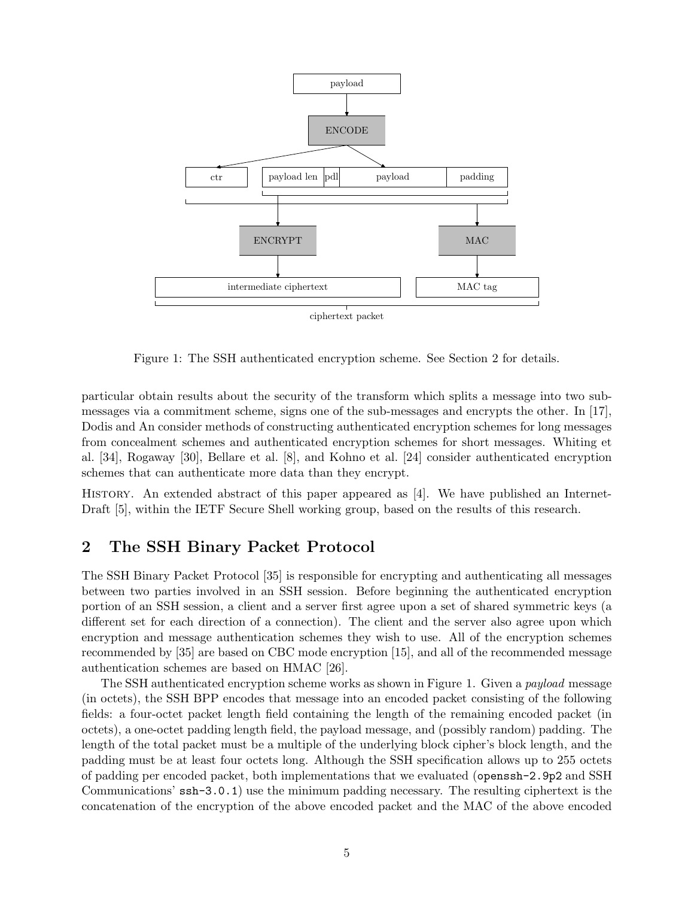

Figure 1: The SSH authenticated encryption scheme. See Section 2 for details.

particular obtain results about the security of the transform which splits a message into two submessages via a commitment scheme, signs one of the sub-messages and encrypts the other. In [17], Dodis and An consider methods of constructing authenticated encryption schemes for long messages from concealment schemes and authenticated encryption schemes for short messages. Whiting et al. [34], Rogaway [30], Bellare et al. [8], and Kohno et al. [24] consider authenticated encryption schemes that can authenticate more data than they encrypt.

History. An extended abstract of this paper appeared as [4]. We have published an Internet-Draft [5], within the IETF Secure Shell working group, based on the results of this research.

## 2 The SSH Binary Packet Protocol

The SSH Binary Packet Protocol [35] is responsible for encrypting and authenticating all messages between two parties involved in an SSH session. Before beginning the authenticated encryption portion of an SSH session, a client and a server first agree upon a set of shared symmetric keys (a different set for each direction of a connection). The client and the server also agree upon which encryption and message authentication schemes they wish to use. All of the encryption schemes recommended by [35] are based on CBC mode encryption [15], and all of the recommended message authentication schemes are based on HMAC [26].

The SSH authenticated encryption scheme works as shown in Figure 1. Given a *payload* message (in octets), the SSH BPP encodes that message into an encoded packet consisting of the following fields: a four-octet packet length field containing the length of the remaining encoded packet (in octets), a one-octet padding length field, the payload message, and (possibly random) padding. The length of the total packet must be a multiple of the underlying block cipher's block length, and the padding must be at least four octets long. Although the SSH specification allows up to 255 octets of padding per encoded packet, both implementations that we evaluated (openssh-2.9p2 and SSH Communications' ssh-3.0.1) use the minimum padding necessary. The resulting ciphertext is the concatenation of the encryption of the above encoded packet and the MAC of the above encoded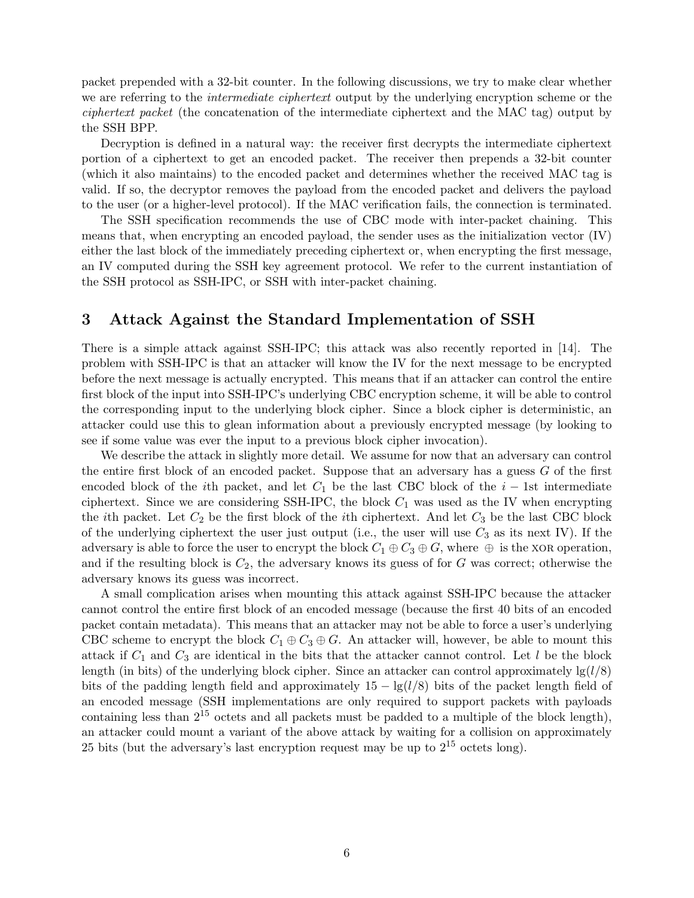packet prepended with a 32-bit counter. In the following discussions, we try to make clear whether we are referring to the *intermediate ciphertext* output by the underlying encryption scheme or the ciphertext packet (the concatenation of the intermediate ciphertext and the MAC tag) output by the SSH BPP.

Decryption is defined in a natural way: the receiver first decrypts the intermediate ciphertext portion of a ciphertext to get an encoded packet. The receiver then prepends a 32-bit counter (which it also maintains) to the encoded packet and determines whether the received MAC tag is valid. If so, the decryptor removes the payload from the encoded packet and delivers the payload to the user (or a higher-level protocol). If the MAC verification fails, the connection is terminated.

The SSH specification recommends the use of CBC mode with inter-packet chaining. This means that, when encrypting an encoded payload, the sender uses as the initialization vector (IV) either the last block of the immediately preceding ciphertext or, when encrypting the first message, an IV computed during the SSH key agreement protocol. We refer to the current instantiation of the SSH protocol as SSH-IPC, or SSH with inter-packet chaining.

## 3 Attack Against the Standard Implementation of SSH

There is a simple attack against SSH-IPC; this attack was also recently reported in [14]. The problem with SSH-IPC is that an attacker will know the IV for the next message to be encrypted before the next message is actually encrypted. This means that if an attacker can control the entire first block of the input into SSH-IPC's underlying CBC encryption scheme, it will be able to control the corresponding input to the underlying block cipher. Since a block cipher is deterministic, an attacker could use this to glean information about a previously encrypted message (by looking to see if some value was ever the input to a previous block cipher invocation).

We describe the attack in slightly more detail. We assume for now that an adversary can control the entire first block of an encoded packet. Suppose that an adversary has a guess  $G$  of the first encoded block of the *i*th packet, and let  $C_1$  be the last CBC block of the  $i - 1$ st intermediate ciphertext. Since we are considering SSH-IPC, the block  $C_1$  was used as the IV when encrypting the *i*th packet. Let  $C_2$  be the first block of the *i*th ciphertext. And let  $C_3$  be the last CBC block of the underlying ciphertext the user just output (i.e., the user will use  $C_3$  as its next IV). If the adversary is able to force the user to encrypt the block  $C_1 \oplus C_3 \oplus G$ , where  $\oplus$  is the XOR operation, and if the resulting block is  $C_2$ , the adversary knows its guess of for G was correct; otherwise the adversary knows its guess was incorrect.

A small complication arises when mounting this attack against SSH-IPC because the attacker cannot control the entire first block of an encoded message (because the first 40 bits of an encoded packet contain metadata). This means that an attacker may not be able to force a user's underlying CBC scheme to encrypt the block  $C_1 \oplus C_3 \oplus G$ . An attacker will, however, be able to mount this attack if  $C_1$  and  $C_3$  are identical in the bits that the attacker cannot control. Let l be the block length (in bits) of the underlying block cipher. Since an attacker can control approximately  $\lg(l/8)$ bits of the padding length field and approximately  $15 - \lg(l/8)$  bits of the packet length field of an encoded message (SSH implementations are only required to support packets with payloads containing less than  $2^{15}$  octets and all packets must be padded to a multiple of the block length), an attacker could mount a variant of the above attack by waiting for a collision on approximately 25 bits (but the adversary's last encryption request may be up to  $2^{15}$  octets long).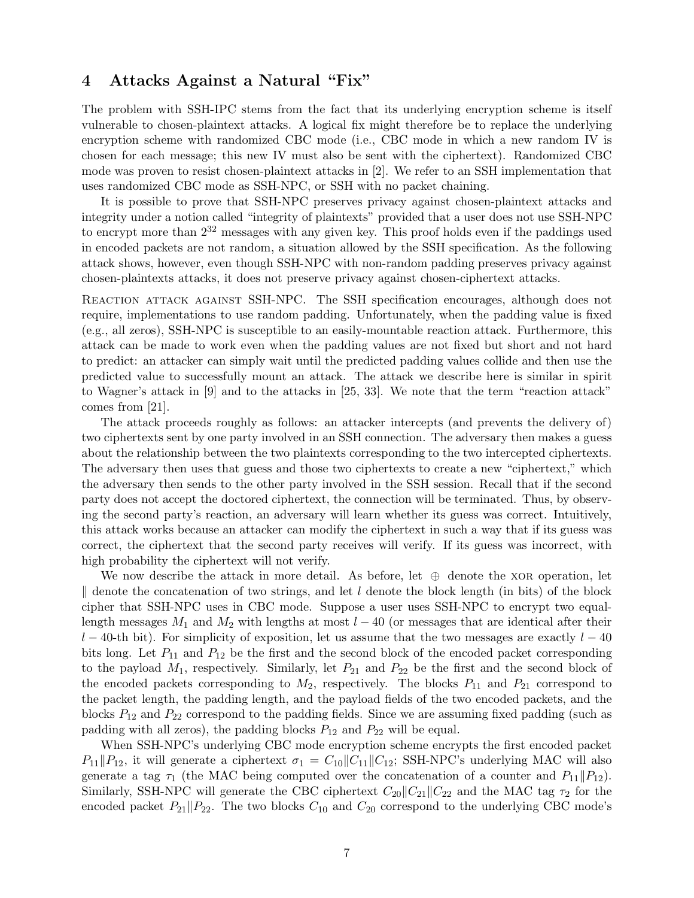## 4 Attacks Against a Natural "Fix"

The problem with SSH-IPC stems from the fact that its underlying encryption scheme is itself vulnerable to chosen-plaintext attacks. A logical fix might therefore be to replace the underlying encryption scheme with randomized CBC mode (i.e., CBC mode in which a new random IV is chosen for each message; this new IV must also be sent with the ciphertext). Randomized CBC mode was proven to resist chosen-plaintext attacks in [2]. We refer to an SSH implementation that uses randomized CBC mode as SSH-NPC, or SSH with no packet chaining.

It is possible to prove that SSH-NPC preserves privacy against chosen-plaintext attacks and integrity under a notion called "integrity of plaintexts" provided that a user does not use SSH-NPC to encrypt more than  $2^{32}$  messages with any given key. This proof holds even if the paddings used in encoded packets are not random, a situation allowed by the SSH specification. As the following attack shows, however, even though SSH-NPC with non-random padding preserves privacy against chosen-plaintexts attacks, it does not preserve privacy against chosen-ciphertext attacks.

Reaction attack against SSH-NPC. The SSH specification encourages, although does not require, implementations to use random padding. Unfortunately, when the padding value is fixed (e.g., all zeros), SSH-NPC is susceptible to an easily-mountable reaction attack. Furthermore, this attack can be made to work even when the padding values are not fixed but short and not hard to predict: an attacker can simply wait until the predicted padding values collide and then use the predicted value to successfully mount an attack. The attack we describe here is similar in spirit to Wagner's attack in [9] and to the attacks in [25, 33]. We note that the term "reaction attack" comes from [21].

The attack proceeds roughly as follows: an attacker intercepts (and prevents the delivery of) two ciphertexts sent by one party involved in an SSH connection. The adversary then makes a guess about the relationship between the two plaintexts corresponding to the two intercepted ciphertexts. The adversary then uses that guess and those two ciphertexts to create a new "ciphertext," which the adversary then sends to the other party involved in the SSH session. Recall that if the second party does not accept the doctored ciphertext, the connection will be terminated. Thus, by observing the second party's reaction, an adversary will learn whether its guess was correct. Intuitively, this attack works because an attacker can modify the ciphertext in such a way that if its guess was correct, the ciphertext that the second party receives will verify. If its guess was incorrect, with high probability the ciphertext will not verify.

We now describe the attack in more detail. As before, let  $\oplus$  denote the xore operation, let  $\parallel$  denote the concatenation of two strings, and let l denote the block length (in bits) of the block cipher that SSH-NPC uses in CBC mode. Suppose a user uses SSH-NPC to encrypt two equallength messages  $M_1$  and  $M_2$  with lengths at most  $l - 40$  (or messages that are identical after their  $l - 40$ -th bit). For simplicity of exposition, let us assume that the two messages are exactly  $l - 40$ bits long. Let  $P_{11}$  and  $P_{12}$  be the first and the second block of the encoded packet corresponding to the payload  $M_1$ , respectively. Similarly, let  $P_{21}$  and  $P_{22}$  be the first and the second block of the encoded packets corresponding to  $M_2$ , respectively. The blocks  $P_{11}$  and  $P_{21}$  correspond to the packet length, the padding length, and the payload fields of the two encoded packets, and the blocks  $P_{12}$  and  $P_{22}$  correspond to the padding fields. Since we are assuming fixed padding (such as padding with all zeros), the padding blocks  $P_{12}$  and  $P_{22}$  will be equal.

When SSH-NPC's underlying CBC mode encryption scheme encrypts the first encoded packet  $P_{11}||P_{12}$ , it will generate a ciphertext  $\sigma_1 = C_{10}||C_{11}||C_{12}$ ; SSH-NPC's underlying MAC will also generate a tag  $\tau_1$  (the MAC being computed over the concatenation of a counter and  $P_{11}||P_{12}$ ). Similarly, SSH-NPC will generate the CBC ciphertext  $C_{20}||C_{21}||C_{22}$  and the MAC tag  $\tau_2$  for the encoded packet  $P_{21}||P_{22}$ . The two blocks  $C_{10}$  and  $C_{20}$  correspond to the underlying CBC mode's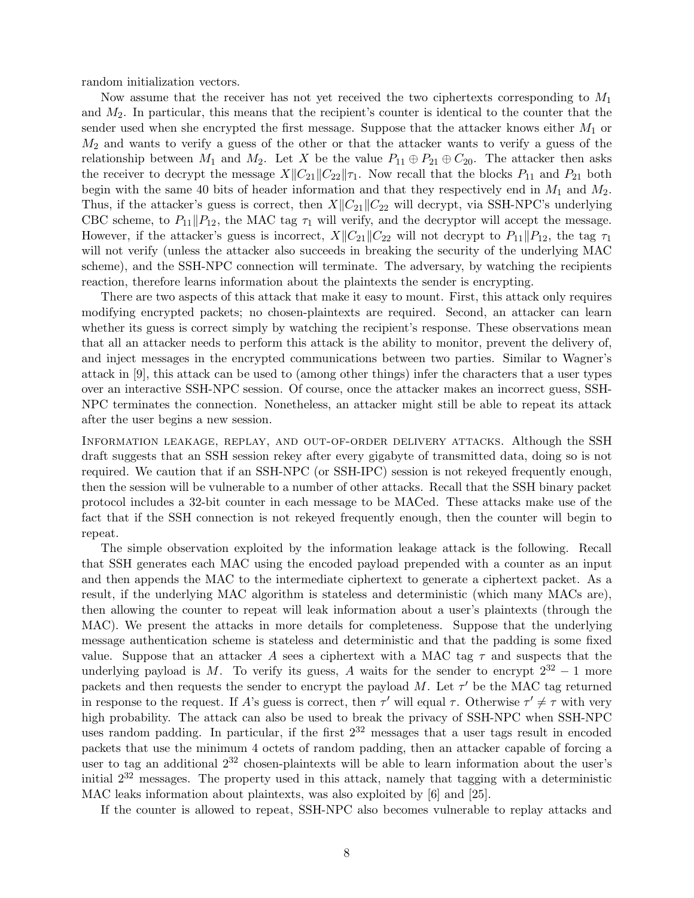random initialization vectors.

Now assume that the receiver has not yet received the two ciphertexts corresponding to  $M_1$ and  $M_2$ . In particular, this means that the recipient's counter is identical to the counter that the sender used when she encrypted the first message. Suppose that the attacker knows either  $M_1$  or  $M_2$  and wants to verify a guess of the other or that the attacker wants to verify a guess of the relationship between  $M_1$  and  $M_2$ . Let X be the value  $P_{11} \oplus P_{21} \oplus C_{20}$ . The attacker then asks the receiver to decrypt the message  $X||C_{21}||C_{22}||\tau_1$ . Now recall that the blocks  $P_{11}$  and  $P_{21}$  both begin with the same 40 bits of header information and that they respectively end in  $M_1$  and  $M_2$ . Thus, if the attacker's guess is correct, then  $X||C_{21}||C_{22}$  will decrypt, via SSH-NPC's underlying CBC scheme, to  $P_{11}$   $P_{12}$ , the MAC tag  $\tau_1$  will verify, and the decryptor will accept the message. However, if the attacker's guess is incorrect,  $X||C_{21}||C_{22}$  will not decrypt to  $P_{11}||P_{12}$ , the tag  $\tau_1$ will not verify (unless the attacker also succeeds in breaking the security of the underlying MAC scheme), and the SSH-NPC connection will terminate. The adversary, by watching the recipients reaction, therefore learns information about the plaintexts the sender is encrypting.

There are two aspects of this attack that make it easy to mount. First, this attack only requires modifying encrypted packets; no chosen-plaintexts are required. Second, an attacker can learn whether its guess is correct simply by watching the recipient's response. These observations mean that all an attacker needs to perform this attack is the ability to monitor, prevent the delivery of, and inject messages in the encrypted communications between two parties. Similar to Wagner's attack in [9], this attack can be used to (among other things) infer the characters that a user types over an interactive SSH-NPC session. Of course, once the attacker makes an incorrect guess, SSH-NPC terminates the connection. Nonetheless, an attacker might still be able to repeat its attack after the user begins a new session.

Information leakage, replay, and out-of-order delivery attacks. Although the SSH draft suggests that an SSH session rekey after every gigabyte of transmitted data, doing so is not required. We caution that if an SSH-NPC (or SSH-IPC) session is not rekeyed frequently enough, then the session will be vulnerable to a number of other attacks. Recall that the SSH binary packet protocol includes a 32-bit counter in each message to be MACed. These attacks make use of the fact that if the SSH connection is not rekeyed frequently enough, then the counter will begin to repeat.

The simple observation exploited by the information leakage attack is the following. Recall that SSH generates each MAC using the encoded payload prepended with a counter as an input and then appends the MAC to the intermediate ciphertext to generate a ciphertext packet. As a result, if the underlying MAC algorithm is stateless and deterministic (which many MACs are), then allowing the counter to repeat will leak information about a user's plaintexts (through the MAC). We present the attacks in more details for completeness. Suppose that the underlying message authentication scheme is stateless and deterministic and that the padding is some fixed value. Suppose that an attacker A sees a ciphertext with a MAC tag  $\tau$  and suspects that the underlying payload is M. To verify its guess, A waits for the sender to encrypt  $2^{32} - 1$  more packets and then requests the sender to encrypt the payload M. Let  $\tau'$  be the MAC tag returned in response to the request. If A's guess is correct, then  $\tau'$  will equal  $\tau$ . Otherwise  $\tau' \neq \tau$  with very high probability. The attack can also be used to break the privacy of SSH-NPC when SSH-NPC uses random padding. In particular, if the first  $2^{32}$  messages that a user tags result in encoded packets that use the minimum 4 octets of random padding, then an attacker capable of forcing a user to tag an additional  $2^{32}$  chosen-plaintexts will be able to learn information about the user's initial  $2^{32}$  messages. The property used in this attack, namely that tagging with a deterministic MAC leaks information about plaintexts, was also exploited by [6] and [25].

If the counter is allowed to repeat, SSH-NPC also becomes vulnerable to replay attacks and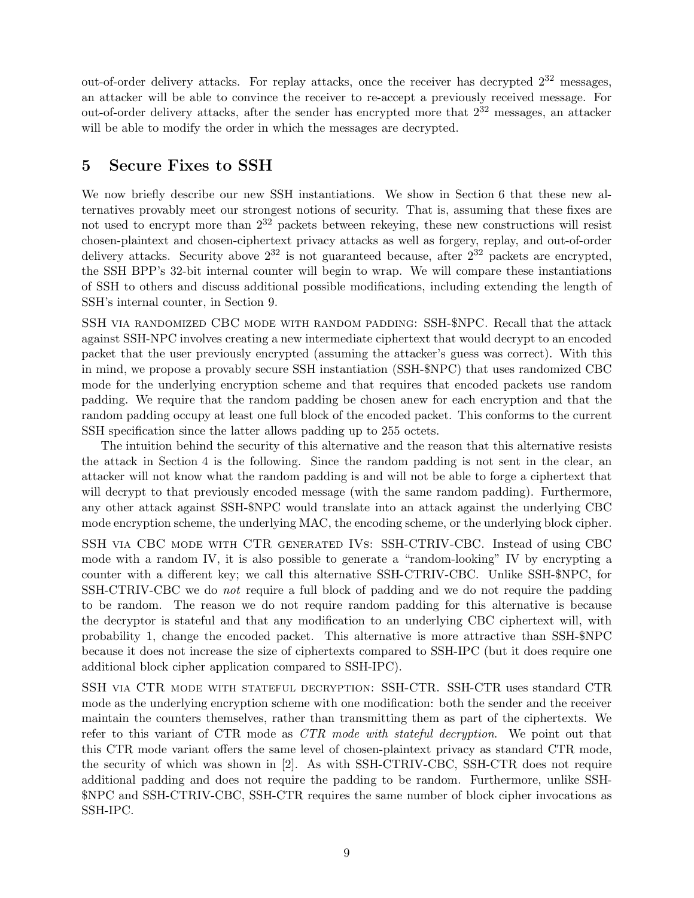out-of-order delivery attacks. For replay attacks, once the receiver has decrypted  $2^{32}$  messages, an attacker will be able to convince the receiver to re-accept a previously received message. For out-of-order delivery attacks, after the sender has encrypted more that  $2^{32}$  messages, an attacker will be able to modify the order in which the messages are decrypted.

# 5 Secure Fixes to SSH

We now briefly describe our new SSH instantiations. We show in Section 6 that these new alternatives provably meet our strongest notions of security. That is, assuming that these fixes are not used to encrypt more than  $2^{32}$  packets between rekeying, these new constructions will resist chosen-plaintext and chosen-ciphertext privacy attacks as well as forgery, replay, and out-of-order delivery attacks. Security above  $2^{32}$  is not guaranteed because, after  $2^{32}$  packets are encrypted, the SSH BPP's 32-bit internal counter will begin to wrap. We will compare these instantiations of SSH to others and discuss additional possible modifications, including extending the length of SSH's internal counter, in Section 9.

SSH via randomized CBC mode with random padding: SSH-\$NPC. Recall that the attack against SSH-NPC involves creating a new intermediate ciphertext that would decrypt to an encoded packet that the user previously encrypted (assuming the attacker's guess was correct). With this in mind, we propose a provably secure SSH instantiation (SSH-\$NPC) that uses randomized CBC mode for the underlying encryption scheme and that requires that encoded packets use random padding. We require that the random padding be chosen anew for each encryption and that the random padding occupy at least one full block of the encoded packet. This conforms to the current SSH specification since the latter allows padding up to 255 octets.

The intuition behind the security of this alternative and the reason that this alternative resists the attack in Section 4 is the following. Since the random padding is not sent in the clear, an attacker will not know what the random padding is and will not be able to forge a ciphertext that will decrypt to that previously encoded message (with the same random padding). Furthermore, any other attack against SSH-\$NPC would translate into an attack against the underlying CBC mode encryption scheme, the underlying MAC, the encoding scheme, or the underlying block cipher.

SSH via CBC mode with CTR generated IVs: SSH-CTRIV-CBC. Instead of using CBC mode with a random IV, it is also possible to generate a "random-looking" IV by encrypting a counter with a different key; we call this alternative SSH-CTRIV-CBC. Unlike SSH-\$NPC, for SSH-CTRIV-CBC we do not require a full block of padding and we do not require the padding to be random. The reason we do not require random padding for this alternative is because the decryptor is stateful and that any modification to an underlying CBC ciphertext will, with probability 1, change the encoded packet. This alternative is more attractive than SSH-\$NPC because it does not increase the size of ciphertexts compared to SSH-IPC (but it does require one additional block cipher application compared to SSH-IPC).

SSH via CTR mode with stateful decryption: SSH-CTR. SSH-CTR uses standard CTR mode as the underlying encryption scheme with one modification: both the sender and the receiver maintain the counters themselves, rather than transmitting them as part of the ciphertexts. We refer to this variant of CTR mode as *CTR mode with stateful decryption*. We point out that this CTR mode variant offers the same level of chosen-plaintext privacy as standard CTR mode, the security of which was shown in [2]. As with SSH-CTRIV-CBC, SSH-CTR does not require additional padding and does not require the padding to be random. Furthermore, unlike SSH- \$NPC and SSH-CTRIV-CBC, SSH-CTR requires the same number of block cipher invocations as SSH-IPC.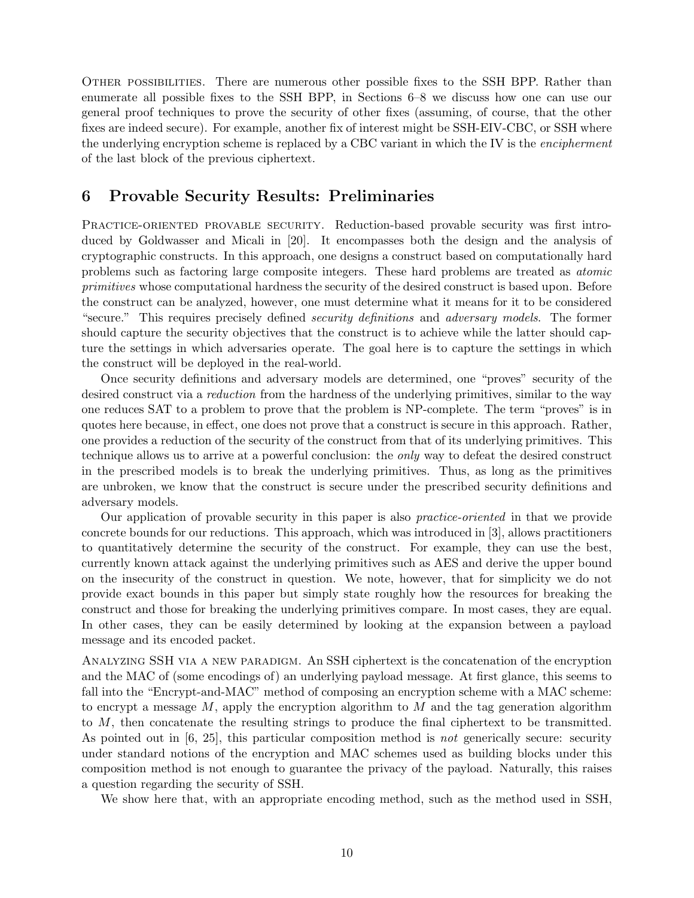Other possibilities. There are numerous other possible fixes to the SSH BPP. Rather than enumerate all possible fixes to the SSH BPP, in Sections 6–8 we discuss how one can use our general proof techniques to prove the security of other fixes (assuming, of course, that the other fixes are indeed secure). For example, another fix of interest might be SSH-EIV-CBC, or SSH where the underlying encryption scheme is replaced by a CBC variant in which the IV is the encipherment of the last block of the previous ciphertext.

## 6 Provable Security Results: Preliminaries

PRACTICE-ORIENTED PROVABLE SECURITY. Reduction-based provable security was first introduced by Goldwasser and Micali in [20]. It encompasses both the design and the analysis of cryptographic constructs. In this approach, one designs a construct based on computationally hard problems such as factoring large composite integers. These hard problems are treated as atomic primitives whose computational hardness the security of the desired construct is based upon. Before the construct can be analyzed, however, one must determine what it means for it to be considered "secure." This requires precisely defined *security definitions* and *adversary models*. The former should capture the security objectives that the construct is to achieve while the latter should capture the settings in which adversaries operate. The goal here is to capture the settings in which the construct will be deployed in the real-world.

Once security definitions and adversary models are determined, one "proves" security of the desired construct via a *reduction* from the hardness of the underlying primitives, similar to the way one reduces SAT to a problem to prove that the problem is NP-complete. The term "proves" is in quotes here because, in effect, one does not prove that a construct is secure in this approach. Rather, one provides a reduction of the security of the construct from that of its underlying primitives. This technique allows us to arrive at a powerful conclusion: the only way to defeat the desired construct in the prescribed models is to break the underlying primitives. Thus, as long as the primitives are unbroken, we know that the construct is secure under the prescribed security definitions and adversary models.

Our application of provable security in this paper is also practice-oriented in that we provide concrete bounds for our reductions. This approach, which was introduced in [3], allows practitioners to quantitatively determine the security of the construct. For example, they can use the best, currently known attack against the underlying primitives such as AES and derive the upper bound on the insecurity of the construct in question. We note, however, that for simplicity we do not provide exact bounds in this paper but simply state roughly how the resources for breaking the construct and those for breaking the underlying primitives compare. In most cases, they are equal. In other cases, they can be easily determined by looking at the expansion between a payload message and its encoded packet.

Analyzing SSH via a new paradigm. An SSH ciphertext is the concatenation of the encryption and the MAC of (some encodings of) an underlying payload message. At first glance, this seems to fall into the "Encrypt-and-MAC" method of composing an encryption scheme with a MAC scheme: to encrypt a message  $M$ , apply the encryption algorithm to  $M$  and the tag generation algorithm to M, then concatenate the resulting strings to produce the final ciphertext to be transmitted. As pointed out in [6, 25], this particular composition method is not generically secure: security under standard notions of the encryption and MAC schemes used as building blocks under this composition method is not enough to guarantee the privacy of the payload. Naturally, this raises a question regarding the security of SSH.

We show here that, with an appropriate encoding method, such as the method used in SSH,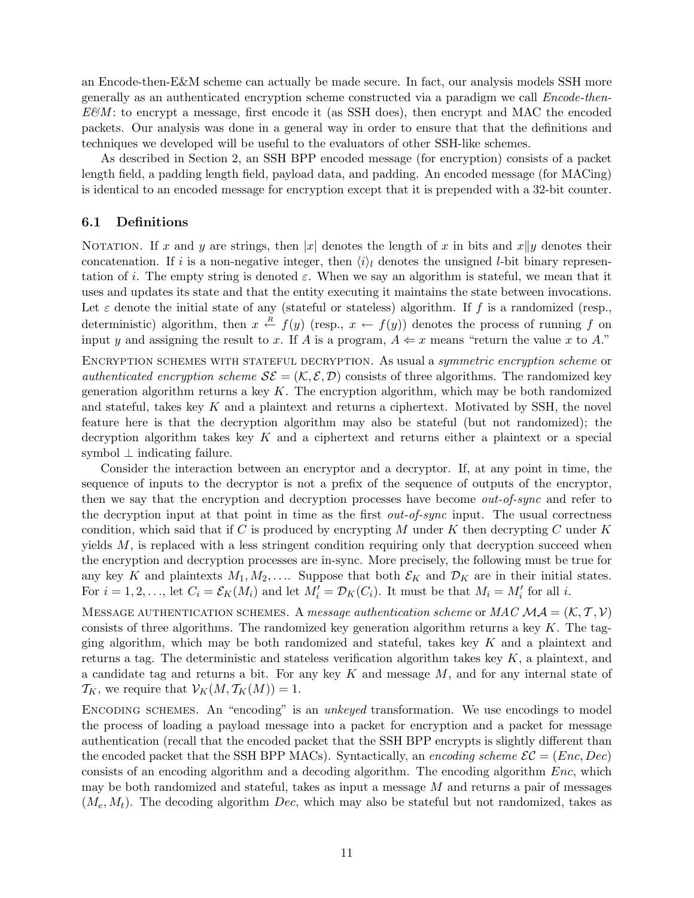an Encode-then-E&M scheme can actually be made secure. In fact, our analysis models SSH more generally as an authenticated encryption scheme constructed via a paradigm we call Encode-then- $EEM$ : to encrypt a message, first encode it (as SSH does), then encrypt and MAC the encoded packets. Our analysis was done in a general way in order to ensure that that the definitions and techniques we developed will be useful to the evaluators of other SSH-like schemes.

As described in Section 2, an SSH BPP encoded message (for encryption) consists of a packet length field, a padding length field, payload data, and padding. An encoded message (for MACing) is identical to an encoded message for encryption except that it is prepended with a 32-bit counter.

### 6.1 Definitions

NOTATION. If x and y are strings, then |x| denotes the length of x in bits and x||y denotes their concatenation. If i is a non-negative integer, then  $\langle i \rangle_l$  denotes the unsigned l-bit binary representation of i. The empty string is denoted  $\varepsilon$ . When we say an algorithm is stateful, we mean that it uses and updates its state and that the entity executing it maintains the state between invocations. Let  $\varepsilon$  denote the initial state of any (stateful or stateless) algorithm. If f is a randomized (resp., deterministic) algorithm, then  $x \stackrel{R}{\leftarrow} f(y)$  (resp.,  $x \leftarrow f(y)$ ) denotes the process of running f on input y and assigning the result to x. If A is a program,  $A \Leftarrow x$  means "return the value x to A."

ENCRYPTION SCHEMES WITH STATEFUL DECRYPTION. As usual a *symmetric encryption scheme* or *authenticated encryption scheme*  $\mathcal{SE} = (\mathcal{K}, \mathcal{E}, \mathcal{D})$  consists of three algorithms. The randomized key generation algorithm returns a key  $K$ . The encryption algorithm, which may be both randomized and stateful, takes key K and a plaintext and returns a ciphertext. Motivated by SSH, the novel feature here is that the decryption algorithm may also be stateful (but not randomized); the decryption algorithm takes key  $K$  and a ciphertext and returns either a plaintext or a special symbol ⊥ indicating failure.

Consider the interaction between an encryptor and a decryptor. If, at any point in time, the sequence of inputs to the decryptor is not a prefix of the sequence of outputs of the encryptor, then we say that the encryption and decryption processes have become *out-of-sync* and refer to the decryption input at that point in time as the first *out-of-sync* input. The usual correctness condition, which said that if C is produced by encrypting M under K then decrypting C under K yields  $M$ , is replaced with a less stringent condition requiring only that decryption succeed when the encryption and decryption processes are in-sync. More precisely, the following must be true for any key K and plaintexts  $M_1, M_2, \ldots$  Suppose that both  $\mathcal{E}_K$  and  $\mathcal{D}_K$  are in their initial states. For  $i = 1, 2, \ldots$ , let  $C_i = \mathcal{E}_K(M_i)$  and let  $M'_i = \mathcal{D}_K(C_i)$ . It must be that  $M_i = M'_i$  for all i.

MESSAGE AUTHENTICATION SCHEMES. A message authentication scheme or  $MAC \mathcal{MA} = (\mathcal{K}, \mathcal{T}, \mathcal{V})$ consists of three algorithms. The randomized key generation algorithm returns a key  $K$ . The tagging algorithm, which may be both randomized and stateful, takes key  $K$  and a plaintext and returns a tag. The deterministic and stateless verification algorithm takes key  $K$ , a plaintext, and a candidate tag and returns a bit. For any key  $K$  and message  $M$ , and for any internal state of  $\mathcal{T}_K$ , we require that  $\mathcal{V}_K(M, \mathcal{T}_K(M)) = 1$ .

Encoding schemes. An "encoding" is an unkeyed transformation. We use encodings to model the process of loading a payload message into a packet for encryption and a packet for message authentication (recall that the encoded packet that the SSH BPP encrypts is slightly different than the encoded packet that the SSH BPP MACs). Syntactically, an encoding scheme  $\mathcal{EC} = (Enc, Dec)$ consists of an encoding algorithm and a decoding algorithm. The encoding algorithm Enc, which may be both randomized and stateful, takes as input a message  $M$  and returns a pair of messages  $(M_e, M_t)$ . The decoding algorithm Dec, which may also be stateful but not randomized, takes as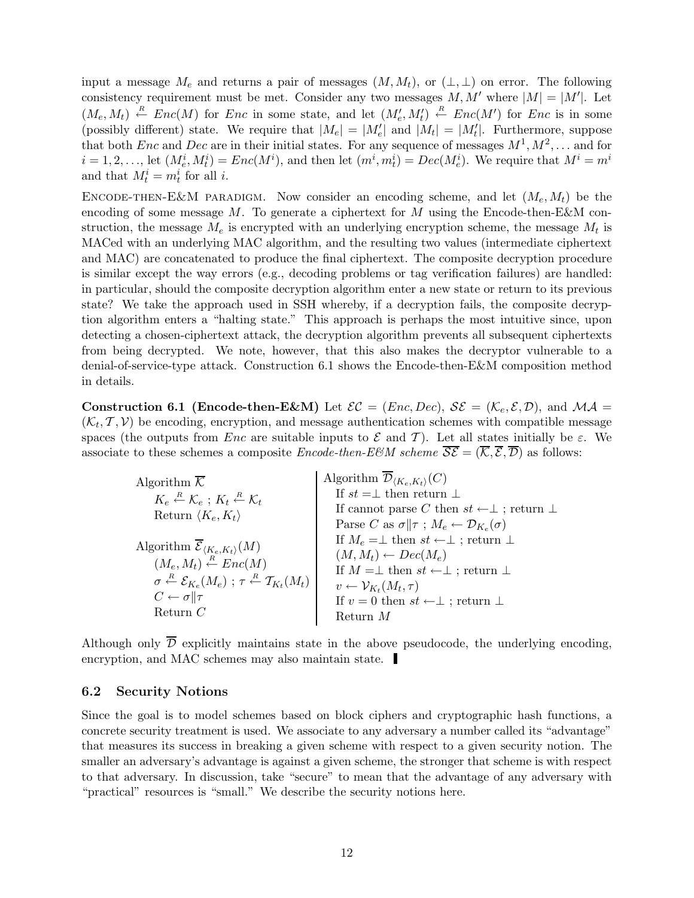input a message  $M_e$  and returns a pair of messages  $(M, M_t)$ , or  $(\perp, \perp)$  on error. The following consistency requirement must be met. Consider any two messages  $M, M'$  where  $|M| = |M'|$ . Let  $(M_e, M_t) \stackrel{R}{\leftarrow} Enc(M)$  for Enc in some state, and let  $(M'_e, M'_t) \stackrel{R}{\leftarrow} Enc(M')$  for Enc is in some (possibly different) state. We require that  $|M_e| = |M'_e|$  and  $|M_t| = |M'_t|$ . Furthermore, suppose that both *Enc* and *Dec* are in their initial states. For any sequence of messages  $M^1, M^2, \ldots$  and for  $i = 1, 2, \ldots$ , let  $(M_e^i, M_t^i) = Enc(M^i)$ , and then let  $(m^i, m_t^i) = Dec(M_e^i)$ . We require that  $M^i = m^i$ and that  $M_t^i = m_t^i$  for all i.

ENCODE-THEN-E&M PARADIGM. Now consider an encoding scheme, and let  $(M_e, M_t)$  be the encoding of some message  $M$ . To generate a ciphertext for  $M$  using the Encode-then-E&M construction, the message  $M_e$  is encrypted with an underlying encryption scheme, the message  $M_t$  is MACed with an underlying MAC algorithm, and the resulting two values (intermediate ciphertext and MAC) are concatenated to produce the final ciphertext. The composite decryption procedure is similar except the way errors (e.g., decoding problems or tag verification failures) are handled: in particular, should the composite decryption algorithm enter a new state or return to its previous state? We take the approach used in SSH whereby, if a decryption fails, the composite decryption algorithm enters a "halting state." This approach is perhaps the most intuitive since, upon detecting a chosen-ciphertext attack, the decryption algorithm prevents all subsequent ciphertexts from being decrypted. We note, however, that this also makes the decryptor vulnerable to a denial-of-service-type attack. Construction 6.1 shows the Encode-then-E&M composition method in details.

**Construction 6.1 (Encode-then-E&M)** Let  $\mathcal{EC} = (Enc, Dec), \mathcal{SE} = (K_e, \mathcal{E}, \mathcal{D})$ , and  $\mathcal{MA} =$  $(\mathcal{K}_t, \mathcal{T}, \mathcal{V})$  be encoding, encryption, and message authentication schemes with compatible message spaces (the outputs from Enc are suitable inputs to  $\mathcal E$  and T). Let all states initially be  $\varepsilon$ . We associate to these schemes a composite *Encode-then-E&M scheme*  $\overline{\mathcal{S}\mathcal{E}} = (\overline{\mathcal{K}}, \overline{\mathcal{E}}, \overline{\mathcal{D}})$  as follows:

| Algorithm $\overline{\mathcal{K}}$                                                                                | Algorithm $\overline{\mathcal{D}}_{\langle K_e, K_t \rangle}(C)$         |
|-------------------------------------------------------------------------------------------------------------------|--------------------------------------------------------------------------|
| $K_e \stackrel{R}{\leftarrow} \mathcal{K}_e$ ; $K_t \stackrel{R}{\leftarrow} \mathcal{K}_t$                       | If $st = \perp$ then return $\perp$                                      |
| Return $\langle K_e, K_t \rangle$                                                                                 | If cannot parse C then $st \leftarrow \perp$ ; return $\perp$            |
|                                                                                                                   | Parse C as $\sigma    \tau$ ; $M_e \leftarrow \mathcal{D}_{K_e}(\sigma)$ |
| Algorithm $\overline{\mathcal{E}}_{\langle K_e, K_t \rangle}(M)$<br>$(M_e, M_t) \stackrel{R}{\leftarrow} Enc(M)$  | If $M_e = \perp$ then $st \leftarrow \perp$ ; return $\perp$             |
|                                                                                                                   | $(M, M_t) \leftarrow Dec(M_e)$                                           |
|                                                                                                                   | If $M = \perp$ then $st \leftarrow \perp$ ; return $\perp$               |
| $\sigma \stackrel{R}{\leftarrow} \mathcal{E}_{K_e}(M_e)$ ; $\tau \stackrel{R}{\leftarrow} \mathcal{T}_{K_t}(M_t)$ | $v \leftarrow \mathcal{V}_{K_t}(M_t, \tau)$                              |
| $C \leftarrow \sigma    \tau$                                                                                     | If $v = 0$ then $st \leftarrow \perp$ ; return $\perp$                   |
| Return $C$                                                                                                        | Return $M$                                                               |

Although only  $\overline{\mathcal{D}}$  explicitly maintains state in the above pseudocode, the underlying encoding, encryption, and MAC schemes may also maintain state.

#### 6.2 Security Notions

Since the goal is to model schemes based on block ciphers and cryptographic hash functions, a concrete security treatment is used. We associate to any adversary a number called its "advantage" that measures its success in breaking a given scheme with respect to a given security notion. The smaller an adversary's advantage is against a given scheme, the stronger that scheme is with respect to that adversary. In discussion, take "secure" to mean that the advantage of any adversary with "practical" resources is "small." We describe the security notions here.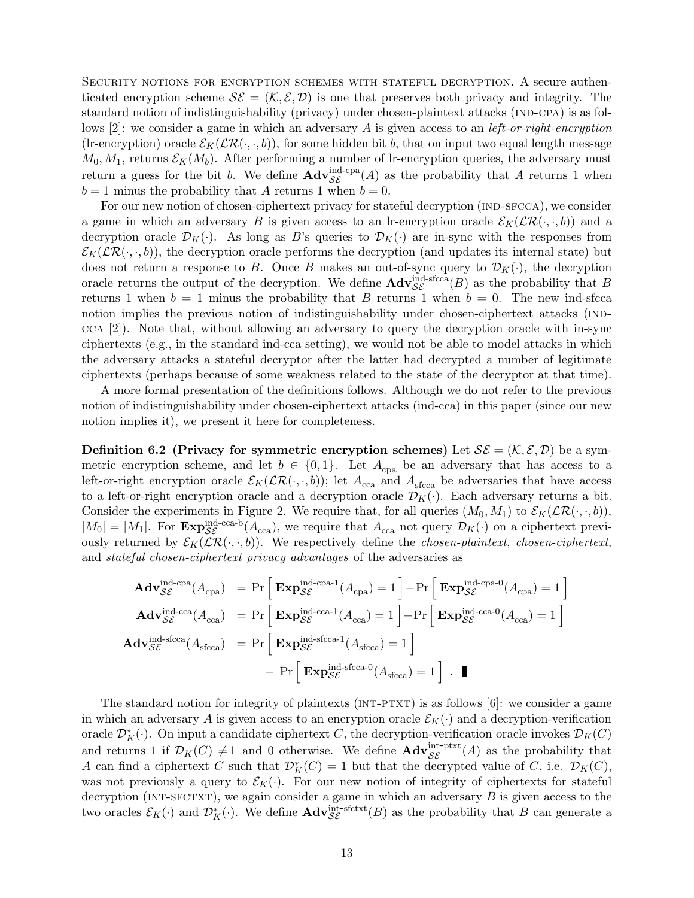SECURITY NOTIONS FOR ENCRYPTION SCHEMES WITH STATEFUL DECRYPTION. A secure authenticated encryption scheme  $\mathcal{SE} = (\mathcal{K}, \mathcal{E}, \mathcal{D})$  is one that preserves both privacy and integrity. The standard notion of indistinguishability (privacy) under chosen-plaintext attacks (IND-CPA) is as follows [2]: we consider a game in which an adversary A is given access to an *left-or-right-encryption* (lr-encryption) oracle  $\mathcal{E}_K(\mathcal{LR}(\cdot,\cdot,b))$ , for some hidden bit b, that on input two equal length message  $M_0, M_1$ , returns  $\mathcal{E}_K(M_b)$ . After performing a number of lr-encryption queries, the adversary must return a guess for the bit b. We define  $\mathbf{Adv}_{\mathcal{SE}}^{\text{ind-cpa}}(A)$  as the probability that A returns 1 when  $b = 1$  minus the probability that A returns 1 when  $b = 0$ .

For our new notion of chosen-ciphertext privacy for stateful decryption (IND-SFCCA), we consider a game in which an adversary B is given access to an lr-encryption oracle  $\mathcal{E}_K(\mathcal{LR}(\cdot,\cdot,b))$  and a decryption oracle  $\mathcal{D}_K(\cdot)$ . As long as B's queries to  $\mathcal{D}_K(\cdot)$  are in-sync with the responses from  $\mathcal{E}_K(\mathcal{LR}(\cdot,\cdot,b))$ , the decryption oracle performs the decryption (and updates its internal state) but does not return a response to B. Once B makes an out-of-sync query to  $\mathcal{D}_K(\cdot)$ , the decryption oracle returns the output of the decryption. We define  $\mathbf{Adv}_{\mathcal{SE}}^{\text{ind-sfcca}}(B)$  as the probability that B returns 1 when  $b = 1$  minus the probability that B returns 1 when  $b = 0$ . The new ind-sfcca notion implies the previous notion of indistinguishability under chosen-ciphertext attacks (INDcca [2]). Note that, without allowing an adversary to query the decryption oracle with in-sync ciphertexts (e.g., in the standard ind-cca setting), we would not be able to model attacks in which the adversary attacks a stateful decryptor after the latter had decrypted a number of legitimate ciphertexts (perhaps because of some weakness related to the state of the decryptor at that time).

A more formal presentation of the definitions follows. Although we do not refer to the previous notion of indistinguishability under chosen-ciphertext attacks (ind-cca) in this paper (since our new notion implies it), we present it here for completeness.

**Definition 6.2** (Privacy for symmetric encryption schemes) Let  $\mathcal{SE} = (\mathcal{K}, \mathcal{E}, \mathcal{D})$  be a symmetric encryption scheme, and let  $b \in \{0,1\}$ . Let  $A_{\text{cpa}}$  be an adversary that has access to a left-or-right encryption oracle  $\mathcal{E}_K(\mathcal{LR}(\cdot,\cdot,b))$ ; let  $A_{\text{cca}}$  and  $A_{\text{sfcca}}$  be adversaries that have access to a left-or-right encryption oracle and a decryption oracle  $\mathcal{D}_K(\cdot)$ . Each adversary returns a bit. Consider the experiments in Figure 2. We require that, for all queries  $(M_0, M_1)$  to  $\mathcal{E}_K(\mathcal{LR}(\cdot, \cdot, b)),$  $|M_0| = |M_1|$ . For  $\mathbf{Exp}_{\mathcal{SE}}^{\text{ind-cca-b}}(A_{\text{cca}})$ , we require that  $A_{\text{cca}}$  not query  $\mathcal{D}_K(\cdot)$  on a ciphertext previously returned by  $\mathcal{E}_K(\mathcal{LR}(\cdot,\cdot,b))$ . We respectively define the *chosen-plaintext*, *chosen-ciphertext*, and stateful chosen-ciphertext privacy advantages of the adversaries as

$$
\mathbf{Adv}_{\mathcal{SE}}^{\text{ind-cpa}}(A_{\text{cpa}}) = \Pr\Big[\mathbf{Exp}_{\mathcal{SE}}^{\text{ind-cpa-1}}(A_{\text{cpa}}) = 1\Big] - \Pr\Big[\mathbf{Exp}_{\mathcal{SE}}^{\text{ind-cpa-0}}(A_{\text{cpa}}) = 1\Big]
$$
\n
$$
\mathbf{Adv}_{\mathcal{SE}}^{\text{ind-cca}}(A_{\text{cca}}) = \Pr\Big[\mathbf{Exp}_{\mathcal{SE}}^{\text{ind-cca-1}}(A_{\text{cca}}) = 1\Big] - \Pr\Big[\mathbf{Exp}_{\mathcal{SE}}^{\text{ind-cca-0}}(A_{\text{cca}}) = 1\Big]
$$
\n
$$
\mathbf{Adv}_{\mathcal{SE}}^{\text{ind-stcca}}(A_{\text{sfcca}}) = \Pr\Big[\mathbf{Exp}_{\mathcal{SE}}^{\text{ind-stcca-1}}(A_{\text{sfcca}}) = 1\Big] - \Pr\Big[\mathbf{Exp}_{\mathcal{SE}}^{\text{ind-stcca-0}}(A_{\text{sfcca}}) = 1\Big] - \Pr\Big[\mathbf{Exp}_{\mathcal{SE}}^{\text{ind-stcca-0}}(A_{\text{sfcca}}) = 1\Big] - \Pr\Big[\mathbf{Exp}_{\mathcal{SE}}^{\text{ind-stcca-0}}(A_{\text{sfcca}}) = 1\Big] - \Pr\Big[\mathbf{Exp}_{\mathcal{SE}}^{\text{ind-stcca-0}}(A_{\text{sfcca}}) = 1\Big] - \Pr\Big[\mathbf{Exp}_{\mathcal{SE}}^{\text{ind-stcca-0}}(A_{\text{sfcca}}) = 1\Big] - \Pr\Big[\mathbf{Exp}_{\mathcal{SE}}^{\text{ind-stcca-0}}(A_{\text{sfcca}}) = 1\Big] - \Pr\Big[\mathbf{Exp}_{\mathcal{SE}}^{\text{ind-stcca-0}}(A_{\text{sfctx}}) = 1\Big] - \Pr\Big[\mathbf{Exp}_{\mathcal{SE}}^{\text{ind-stcca-0}}(A_{\text{sfctx}}) = 1\Big] - \Pr\Big[\mathbf{Exp}_{\mathcal{SE}}^{\text{ind-stcca-0}}(A_{\text{sfctx}}) = 1\Big] - \Pr\Big[\mathbf{Exp}_{\mathcal{SE}}^{\text{ind-stcca-0}}(A_{\text{sfctx}}) = 1\Big]
$$

The standard notion for integrity of plaintexts ( $INT-PTXT$ ) is as follows [6]: we consider a game in which an adversary A is given access to an encryption oracle  $\mathcal{E}_K(\cdot)$  and a decryption-verification oracle  $\mathcal{D}_K^*(\cdot)$ . On input a candidate ciphertext C, the decryption-verification oracle invokes  $\mathcal{D}_K(C)$ and returns 1 if  $\mathcal{D}_K(C) \neq \perp$  and 0 otherwise. We define  $\mathbf{Adv}_{\mathcal{SE}}^{\text{int-ptxt}}(A)$  as the probability that A can find a ciphertext C such that  $\mathcal{D}_K^*(C) = 1$  but that the decrypted value of C, i.e.  $\mathcal{D}_K(C)$ , was not previously a query to  $\mathcal{E}_K(\cdot)$ . For our new notion of integrity of ciphertexts for stateful decryption (INT-SFCTXT), we again consider a game in which an adversary  $B$  is given access to the two oracles  $\mathcal{E}_K(\cdot)$  and  $\mathcal{D}_K^*(\cdot)$ . We define  $\mathbf{Adv}_{\mathcal{SE}}^{\text{int-}stext{f}ctxt}(B)$  as the probability that B can generate a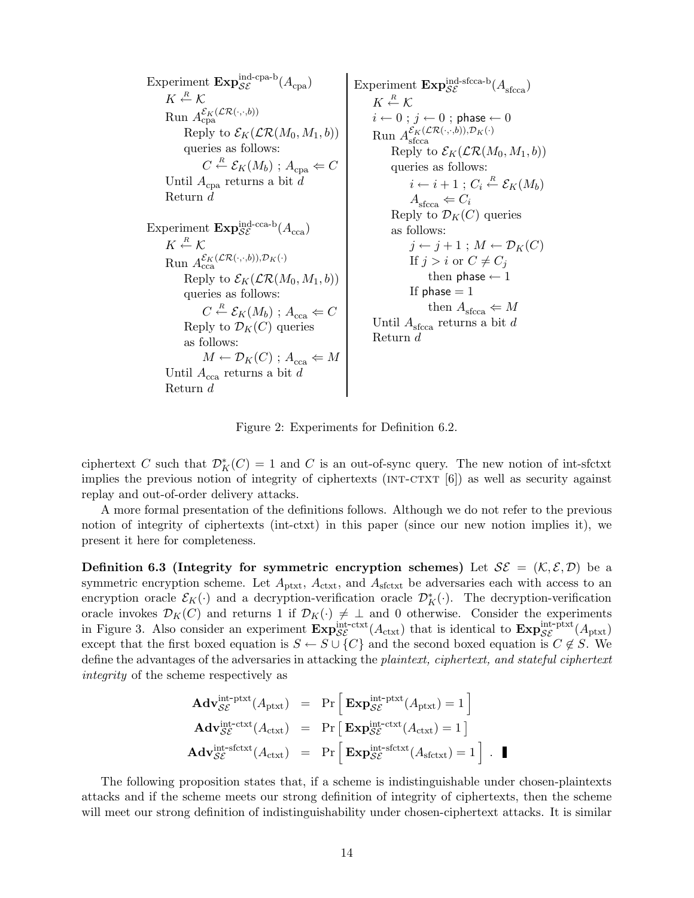Experiment  $\text{Exp}_{\mathcal{SE}}^{\text{ind-cpa-b}}(A_{\text{cpa}})$  $K \stackrel{R}{\leftarrow} \mathcal{K}$ Run  $A_{\rm cpa}^{\mathcal{E}_K(\mathcal{LR}(\cdot,\cdot,b))}$ Reply to  $\mathcal{E}_K(\mathcal{LR}(M_0, M_1, b))$ queries as follows:  $C \stackrel{R}{\leftarrow} \mathcal{E}_K(M_b)$ ;  $A_{\text{cpa}} \leftarrow C$ Until  $A_{\text{cpa}}$  returns a bit d Return d Experiment  $\text{Exp}_{\mathcal{SE}}^{\text{ind-cca-b}}(A_{\text{cca}})$  $K \stackrel{R}{\leftarrow} \mathcal{K}$ Run  $A_{\text{cca}}^{\mathcal{E}_K(\mathcal{LR}(\cdot,\cdot,b)),\mathcal{D}_K(\cdot)}$ Reply to  $\mathcal{E}_K(\mathcal{LR}(M_0, M_1, b))$ <br>queries as follows: queries as follows:  $C \stackrel{R}{\leftarrow} \mathcal{E}_K(M_b)$ ;  $A_{\text{cca}} \leftarrow C$ Reply to  $\mathcal{D}_K(C)$  queries as follows:  $M \leftarrow \mathcal{D}_K(C)$ ;  $A_{\text{cca}} \leftarrow M$ Until  $A_{\text{cca}}$  returns a bit d Return d  $K \stackrel{R}{\leftarrow} \mathcal{K}$ 

Experiment  $\text{Exp}_{\mathcal{SE}}^{\text{ind-sfcca-b}}(A_{\text{sfcca}})$  $i \leftarrow 0 \; ; \, j \leftarrow 0 \; ;$  phase  $\leftarrow 0$ Run  $A_{\text{sfcca}}^{\mathcal{E}_K(\mathcal{LR}(\cdot,\cdot,b)),\mathcal{D}_K(\cdot)}$  $_{\rm sfcca}$ Reply to  $\mathcal{E}_K(\mathcal{LR}(M_0, M_1, b))$ queries as follows:  $i \leftarrow i + 1$ ;  $C_i \stackrel{R}{\leftarrow} \mathcal{E}_K(M_b)$  $A_{\text{stcca}} \leftarrow C_i$ Reply to  $\mathcal{D}_K(C)$  queries as follows:  $j \leftarrow j + 1$ ;  $M \leftarrow \mathcal{D}_K(C)$ If  $j > i$  or  $C \neq C_j$ then phase  $\leftarrow$  1 If phase  $= 1$ then  $A_{\rm sfcca} \Leftarrow M$ Until  $A_\mathrm{sfcca}$  returns a bit  $d$ Return d

Figure 2: Experiments for Definition 6.2.

ciphertext C such that  $\mathcal{D}_K^*(C) = 1$  and C is an out-of-sync query. The new notion of int-sfctxt implies the previous notion of integrity of ciphertexts ( $INT-CTXT$  [6]) as well as security against replay and out-of-order delivery attacks.

A more formal presentation of the definitions follows. Although we do not refer to the previous notion of integrity of ciphertexts (int-ctxt) in this paper (since our new notion implies it), we present it here for completeness.

Definition 6.3 (Integrity for symmetric encryption schemes) Let  $\mathcal{SE} = (\mathcal{K}, \mathcal{E}, \mathcal{D})$  be a symmetric encryption scheme. Let  $A_{\text{ptxt}}$ ,  $A_{\text{ctxt}}$ , and  $A_{\text{sfext}}$  be adversaries each with access to an encryption oracle  $\mathcal{E}_K(\cdot)$  and a decryption-verification oracle  $\mathcal{D}_K^*(\cdot)$ . The decryption-verification oracle invokes  $\mathcal{D}_K(C)$  and returns 1 if  $\mathcal{D}_K(\cdot) \neq \perp$  and 0 otherwise. Consider the experiments in Figure 3. Also consider an experiment  $\mathbf{Exp}_{\mathcal{SE}}^{\text{int}-\text{ctxt}}(A_{\text{ctxt}})$  that is identical to  $\mathbf{Exp}_{\mathcal{SE}}^{\text{int}-\text{ptxt}}(A_{\text{ptxt}})$ except that the first boxed equation is  $S \leftarrow S \cup \{C\}$  and the second boxed equation is  $C \notin S$ . We define the advantages of the adversaries in attacking the plaintext, ciphertext, and stateful ciphertext integrity of the scheme respectively as

$$
\mathbf{Adv}_{\mathcal{SE}}^{\text{int-ptxt}}(A_{\text{ptxt}}) = \Pr \Big[ \mathbf{Exp}_{\mathcal{SE}}^{\text{int-ptxt}}(A_{\text{ptxt}}) = 1 \Big] \n\mathbf{Adv}_{\mathcal{SE}}^{\text{int-ctxt}}(A_{\text{ctxt}}) = \Pr \Big[ \mathbf{Exp}_{\mathcal{SE}}^{\text{int-ctxt}}(A_{\text{ctxt}}) = 1 \Big] \n\mathbf{Adv}_{\mathcal{SE}}^{\text{int-} \text{stext}}(A_{\text{ctx}}) = \Pr \Big[ \mathbf{Exp}_{\mathcal{SE}}^{\text{int-} \text{stext}}(A_{\text{sfctx}}) = 1 \Big] . \blacksquare
$$

The following proposition states that, if a scheme is indistinguishable under chosen-plaintexts attacks and if the scheme meets our strong definition of integrity of ciphertexts, then the scheme will meet our strong definition of indistinguishability under chosen-ciphertext attacks. It is similar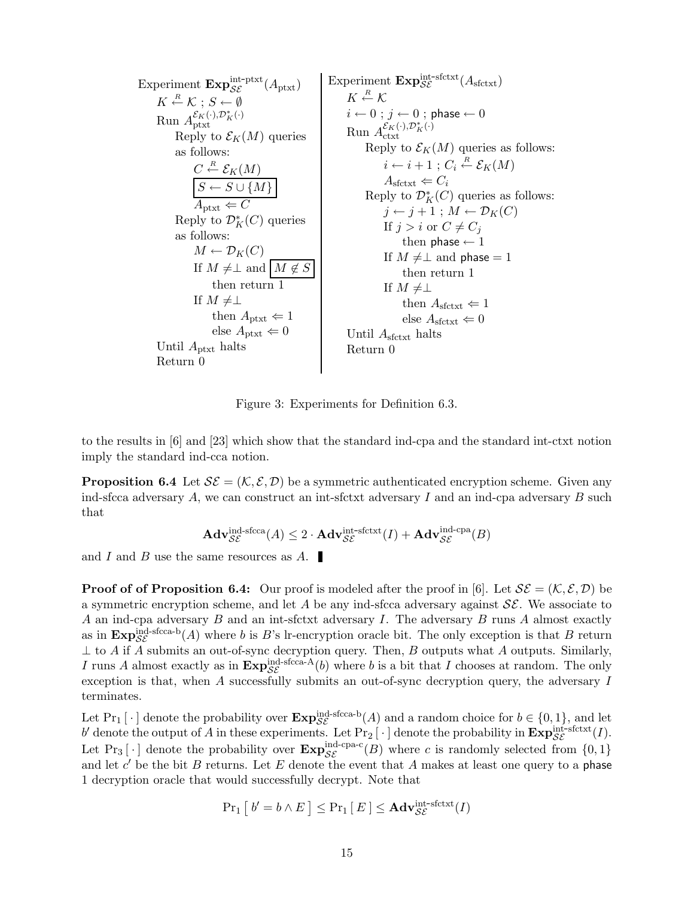| Experiment $\mathbf{Exp}_{S\mathcal{E}}^{int-ptxt}(A_{ptxt})$ | Experiment $\mathbf{Exp}_{S\mathcal{E}}^{int-sfctxt}(A_{sftxt})$    |                                                                     |
|---------------------------------------------------------------|---------------------------------------------------------------------|---------------------------------------------------------------------|
| $K \xrightarrow{\mathcal{E}} K$ ;                             | $S \xleftarrow{\emptyset}$                                          | $K \xleftarrow{\mathcal{E}} K$                                      |
| Run $A_{ptxt}^{\mathcal{E}_K(\cdot), \mathcal{D}_K^*(\cdot)}$ | Run $A_{ctxt}^{\mathcal{E}_K(\cdot), \mathcal{D}_K^*(\cdot)}$       |                                                                     |
| Reply to $\mathcal{E}_K(M)$ queries as follows:               | $C \xleftarrow{\mathcal{E}} \mathcal{E}_K(M)$                       | $i \leftarrow i + 1; C_i \xleftarrow{\mathcal{E}} \mathcal{E}_K(M)$ |
| $S \xleftarrow{\mathcal{E}} S \cup \{M\}$                     | $i \leftarrow i + 1; C_i \xleftarrow{\mathcal{E}} \mathcal{E}_K(M)$ |                                                                     |
| $A_{ptxt} \xleftarrow{\mathcal{C}}$                           | Reply to $\mathcal{D}_K^*(C)$ queries as follows:                   |                                                                     |
| $C \xleftarrow{\mathcal{E}} K(M)$                             | $A_{stctx} \xleftarrow{\mathcal{C}} G$                              |                                                                     |
| Reply to $\mathcal{D}_K^*(C)$ queries                         | $j \leftarrow j + 1; M \leftarrow \mathcal{D}_K(C)$                 |                                                                     |
| Reply to $\mathcal{D}_K^*(C)$ queries                         | $j \leftarrow j + 1; M \leftarrow \mathcal{D}_K(C)$                 |                                                                     |
| If $M \neq \perp$ and $M \neq S$                              | If $M \neq \perp$ then $A_{stctx} \xleftarrow{1}$                   |                                                                     |
| If $M \neq \perp$ then $A_{stctx} \xleftarrow{1}$             |                                                                     |                                                                     |
| then $A_{ptxt} \xleftarrow{$                                  |                                                                     |                                                                     |

Figure 3: Experiments for Definition 6.3.

to the results in [6] and [23] which show that the standard ind-cpa and the standard int-ctxt notion imply the standard ind-cca notion.

**Proposition 6.4** Let  $S\mathcal{E} = (\mathcal{K}, \mathcal{E}, \mathcal{D})$  be a symmetric authenticated encryption scheme. Given any ind-sfcca adversary  $A$ , we can construct an int-sfctxt adversary  $I$  and an ind-cpa adversary  $B$  such that

$$
\mathbf{Adv}_{\mathcal{SE}}^{\text{ind-sfcca}}(A) \leq 2 \cdot \mathbf{Adv}_{\mathcal{SE}}^{\text{int-sfctxt}}(I) + \mathbf{Adv}_{\mathcal{SE}}^{\text{ind-cpa}}(B)
$$

and I and B use the same resources as  $A$ .

**Proof of of Proposition 6.4:** Our proof is modeled after the proof in [6]. Let  $\mathcal{S}\mathcal{E} = (\mathcal{K}, \mathcal{E}, \mathcal{D})$  be a symmetric encryption scheme, and let A be any ind-sfcca adversary against  $\mathcal{SE}$ . We associate to  $A$  an ind-cpa adversary  $B$  and an int-sfctxt adversary  $I$ . The adversary  $B$  runs  $A$  almost exactly as in  $\text{Exp}_{\mathcal{SE}}^{\text{ind-sfcca-b}}(A)$  where b is B's lr-encryption oracle bit. The only exception is that B return  $\perp$  to A if A submits an out-of-sync decryption query. Then, B outputs what A outputs. Similarly, I runs A almost exactly as in  $\text{Exp}_{\mathcal{SE}}^{\text{ind-sfcca-A}}(b)$  where b is a bit that I chooses at random. The only exception is that, when A successfully submits an out-of-sync decryption query, the adversary I terminates.

Let Pr<sub>1</sub>  $[\cdot]$  denote the probability over  $\mathbf{Exp}_{\mathcal{SE}}^{\text{ind--sfcca-b}}(A)$  and a random choice for  $b \in \{0,1\}$ , and let b' denote the output of A in these experiments. Let  $\Pr_2[\cdot]$  denote the probability in  $\mathbf{Exp}_{\mathcal{SE}}^{\text{int-}sdotxt}(I)$ . Let Pr<sub>3</sub>  $[\cdot]$  denote the probability over  $\mathbf{Exp}_{\mathcal{SE}}^{\text{ind-cpa-c}}(B)$  where c is randomly selected from  $\{0,1\}$ and let  $c'$  be the bit  $B$  returns. Let  $E$  denote the event that  $A$  makes at least one query to a phase 1 decryption oracle that would successfully decrypt. Note that

$$
\Pr_1\left[\,b' = b \land E\,\right] \leq \Pr_1\left[\,E\,\right] \leq \mathbf{Adv}_{\mathcal{SE}}^{\text{int-}s\text{f} \text{ctxt}}(I)
$$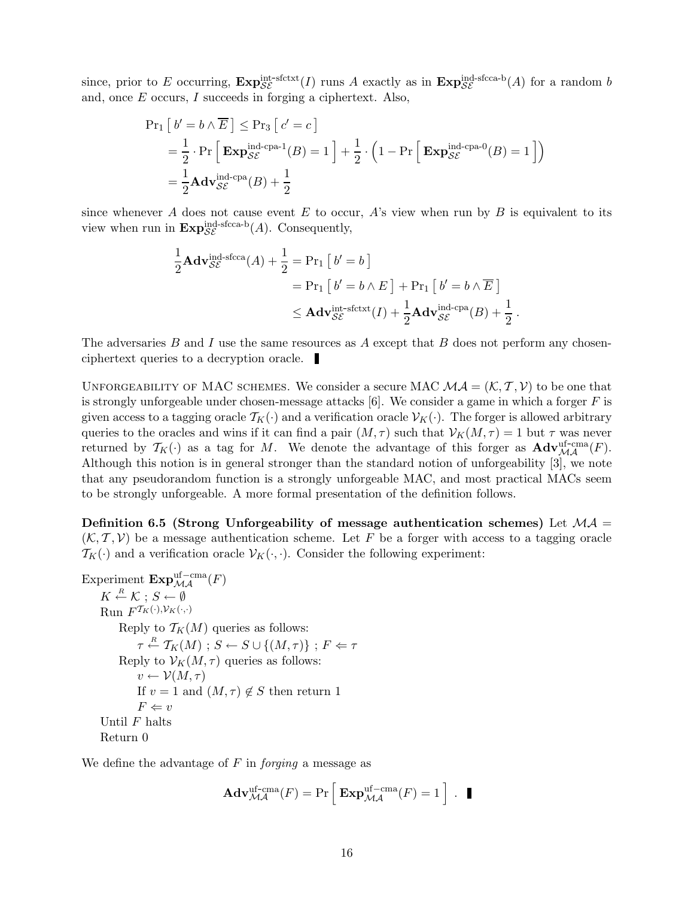since, prior to E occurring,  $\mathbf{Exp}_{\mathcal{SE}}^{\text{int-}stext{f}ctxt}(I)$  runs A exactly as in  $\mathbf{Exp}_{\mathcal{SE}}^{\text{ind-}stext{f}cda-b}(A)$  for a random b and, once E occurs, I succeeds in forging a ciphertext. Also,

$$
\Pr_1 [b' = b \land \overline{E}] \le \Pr_3 [c' = c]
$$
  
=  $\frac{1}{2} \cdot \Pr \left[ \mathbf{Exp}_{\mathcal{SE}}^{\text{ind-cpa-1}}(B) = 1 \right] + \frac{1}{2} \cdot \left( 1 - \Pr \left[ \mathbf{Exp}_{\mathcal{SE}}^{\text{ind-cpa-0}}(B) = 1 \right] \right)$   
=  $\frac{1}{2} \mathbf{Adv}_{\mathcal{SE}}^{\text{ind-cpa}}(B) + \frac{1}{2}$ 

since whenever A does not cause event E to occur, A's view when run by B is equivalent to its view when run in  $\mathbf{Exp}_{\mathcal{SE}}^{\text{ind-sfcca-b}}(A)$ . Consequently,

$$
\frac{1}{2}\mathbf{Adv}_{\mathcal{SE}}^{\text{ind-sfcca}}(A) + \frac{1}{2} = \Pr_1 \left[ b' = b \right]
$$
\n
$$
= \Pr_1 \left[ b' = b \wedge E \right] + \Pr_1 \left[ b' = b \wedge \overline{E} \right]
$$
\n
$$
\leq \mathbf{Adv}_{\mathcal{SE}}^{\text{int-sfctxt}}(I) + \frac{1}{2}\mathbf{Adv}_{\mathcal{SE}}^{\text{ind-cpa}}(B) + \frac{1}{2}.
$$

The adversaries  $B$  and  $I$  use the same resources as  $A$  except that  $B$  does not perform any chosenciphertext queries to a decryption oracle.

UNFORGEABILITY OF MAC SCHEMES. We consider a secure MAC  $\mathcal{MA} = (\mathcal{K}, \mathcal{T}, \mathcal{V})$  to be one that is strongly unforgeable under chosen-message attacks  $[6]$ . We consider a game in which a forger F is given access to a tagging oracle  $\mathcal{T}_K(\cdot)$  and a verification oracle  $\mathcal{V}_K(\cdot)$ . The forger is allowed arbitrary queries to the oracles and wins if it can find a pair  $(M, \tau)$  such that  $V_K(M, \tau) = 1$  but  $\tau$  was never returned by  $T_K(\cdot)$  as a tag for M. We denote the advantage of this forger as  $\text{Adv}_{\mathcal{MA}}^{\text{uf-cma}}(F)$ . Although this notion is in general stronger than the standard notion of unforgeability [3], we note that any pseudorandom function is a strongly unforgeable MAC, and most practical MACs seem to be strongly unforgeable. A more formal presentation of the definition follows.

Definition 6.5 (Strong Unforgeability of message authentication schemes) Let  $\mathcal{MA} =$  $(\mathcal{K}, \mathcal{T}, \mathcal{V})$  be a message authentication scheme. Let F be a forger with access to a tagging oracle  $\mathcal{T}_K(\cdot)$  and a verification oracle  $\mathcal{V}_K(\cdot, \cdot)$ . Consider the following experiment:

```
Experiment \text{Exp}_{\mathcal{MA}}^{\text{uf-cma}}(F)K \stackrel{R}{\leftarrow} \mathcal{K}; S \leftarrow \emptysetRun F^{\mathcal{T}_{K}(\cdot),\mathcal{V}_{K}(\cdot,\cdot)}Reply to \mathcal{T}_K(M) queries as follows:
                   \tau \stackrel{R}{\leftarrow} T_K(M); S \leftarrow S \cup \{(M, \tau)\}; F \leftarrow \tauReply to \mathcal{V}_K(M, \tau) queries as follows:
                  v \leftarrow \mathcal{V}(M, \tau)If v = 1 and (M, \tau) \notin S then return 1
                  F \Leftarrow vUntil F halts
     Return 0
```
We define the advantage of  $F$  in *forging* a message as

$$
\mathbf{Adv}_{\mathcal{MA}}^{\text{uf-cma}}(F) = \Pr\left[\ \mathbf{Exp}_{\mathcal{MA}}^{\text{uf-cma}}(F) = 1 \right] . \quad \blacksquare
$$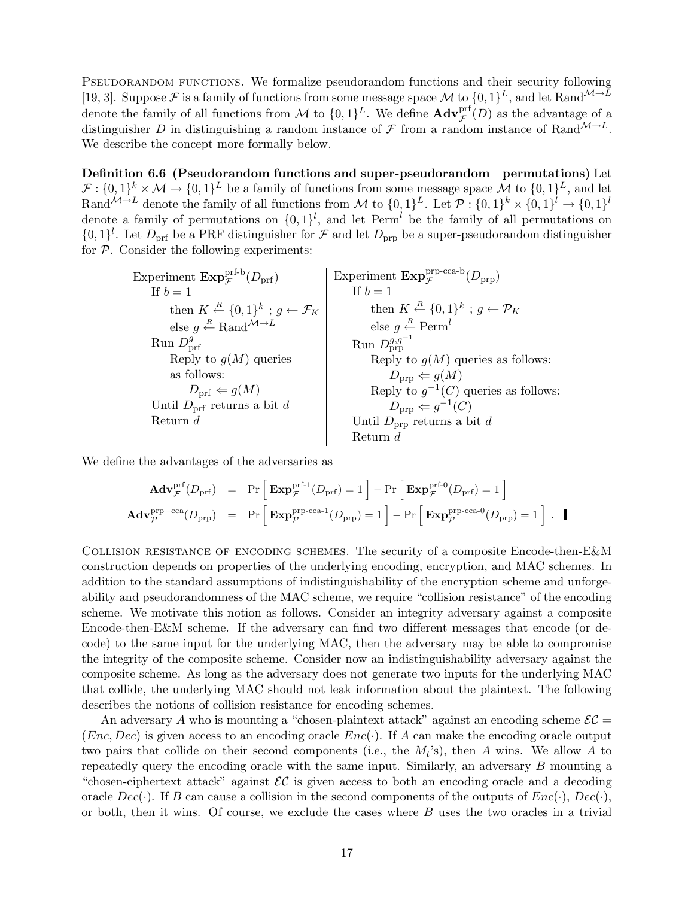PSEUDORANDOM FUNCTIONS. We formalize pseudorandom functions and their security following [19, 3]. Suppose  $\mathcal F$  is a family of functions from some message space  $\mathcal M$  to  $\{0,1\}^L$ , and let Rand $^{\mathcal M\to L}$ denote the family of all functions from M to  $\{0,1\}^L$ . We define  $\mathbf{Adv}_{\mathcal{F}}^{\text{prf}}(D)$  as the advantage of a distinguisher D in distinguishing a random instance of  $\mathcal F$  from a random instance of Rand<sup> $M\rightarrow L$ </sup>. We describe the concept more formally below.

Definition 6.6 (Pseudorandom functions and super-pseudorandom permutations) Let  $\mathcal{F}: \{0,1\}^k \times \mathcal{M} \to \{0,1\}^L$  be a family of functions from some message space  $\mathcal{M}$  to  $\{0,1\}^L$ , and let  $\text{Rand}^{\mathcal{M}\to L}$  denote the family of all functions from M to  $\{0,1\}^L$ . Let  $\mathcal{P}: \{0,1\}^k \times \{0,1\}^l \to \{0,1\}^l$ denote a family of permutations on  $\{0,1\}^l$ , and let Perm<sup>l</sup> be the family of all permutations on  $\{0,1\}^l$ . Let  $D_{\text{prf}}$  be a PRF distinguisher for  $\mathcal F$  and let  $D_{\text{prp}}$  be a super-pseudorandom distinguisher for  $P$ . Consider the following experiments:

Experiment  $\text{Exp}_{\mathcal{F}}^{\text{prf-b}}(D_{\text{prf}})$ If  $b-1$ then  $K \stackrel{R}{\leftarrow} \{0,1\}^k$ ;  $g \leftarrow \mathcal{F}_K$ else  $g \stackrel{R}{\leftarrow} \text{Rand}^{\mathcal{M} \rightarrow L}$  $\mathrm{Run} \ D_{\text{prf}}^g$ Reply to  $g(M)$  queries as follows:  $D_{\text{prf}} \Leftarrow g(M)$ Until  $D_{\text{prf}}$  returns a bit d Return d Experiment  $\text{Exp}_{\mathcal{F}}^{\text{prp-cca-b}}(D_{\text{prp}})$ If  $b = 1$ then  $K \stackrel{R}{\leftarrow} \{0,1\}^k$ ;  $g \leftarrow \mathcal{P}_K$ else  $g \stackrel{R}{\leftarrow} \text{Perm}^l$ Run  $D_{\text{prp}}^{g,g^{-1}}$ Reply to  $g(M)$  queries as follows:  $D_{\text{prn}} \Leftarrow g(M)$ Reply to  $g^{-1}(C)$  queries as follows:  $D_{\text{prp}} \Leftarrow g^{-1}(C)$ Until  $D_{\text{prp}}$  returns a bit  $d$ Return d

We define the advantages of the adversaries as

$$
\mathbf{Adv}_{\mathcal{F}}^{\text{prf}}(D_{\text{prf}}) = \Pr \Big[ \mathbf{Exp}_{\mathcal{F}}^{\text{prf-1}}(D_{\text{prf}}) = 1 \Big] - \Pr \Big[ \mathbf{Exp}_{\mathcal{F}}^{\text{prf-0}}(D_{\text{prf}}) = 1 \Big]
$$

$$
\mathbf{Adv}_{\mathcal{P}}^{\text{prp-cca}}(D_{\text{prp}}) = \Pr \Big[ \mathbf{Exp}_{\mathcal{P}}^{\text{prp-cca-1}}(D_{\text{prp}}) = 1 \Big] - \Pr \Big[ \mathbf{Exp}_{\mathcal{P}}^{\text{prp-cca-0}}(D_{\text{prp}}) = 1 \Big] . \quad \blacksquare
$$

Collision resistance of encoding schemes. The security of a composite Encode-then-E&M construction depends on properties of the underlying encoding, encryption, and MAC schemes. In addition to the standard assumptions of indistinguishability of the encryption scheme and unforgeability and pseudorandomness of the MAC scheme, we require "collision resistance" of the encoding scheme. We motivate this notion as follows. Consider an integrity adversary against a composite Encode-then-E&M scheme. If the adversary can find two different messages that encode (or decode) to the same input for the underlying MAC, then the adversary may be able to compromise the integrity of the composite scheme. Consider now an indistinguishability adversary against the composite scheme. As long as the adversary does not generate two inputs for the underlying MAC that collide, the underlying MAC should not leak information about the plaintext. The following describes the notions of collision resistance for encoding schemes.

An adversary A who is mounting a "chosen-plaintext attack" against an encoding scheme  $\mathcal{EC} =$ (*Enc*, *Dec*) is given access to an encoding oracle  $Enc(\cdot)$ . If A can make the encoding oracle output two pairs that collide on their second components (i.e., the  $M_t$ 's), then A wins. We allow A to repeatedly query the encoding oracle with the same input. Similarly, an adversary B mounting a "chosen-ciphertext attack" against  $\mathcal{EC}$  is given access to both an encoding oracle and a decoding oracle  $Dec(\cdot)$ . If B can cause a collision in the second components of the outputs of  $Enc(\cdot)$ ,  $Dec(\cdot)$ , or both, then it wins. Of course, we exclude the cases where  $B$  uses the two oracles in a trivial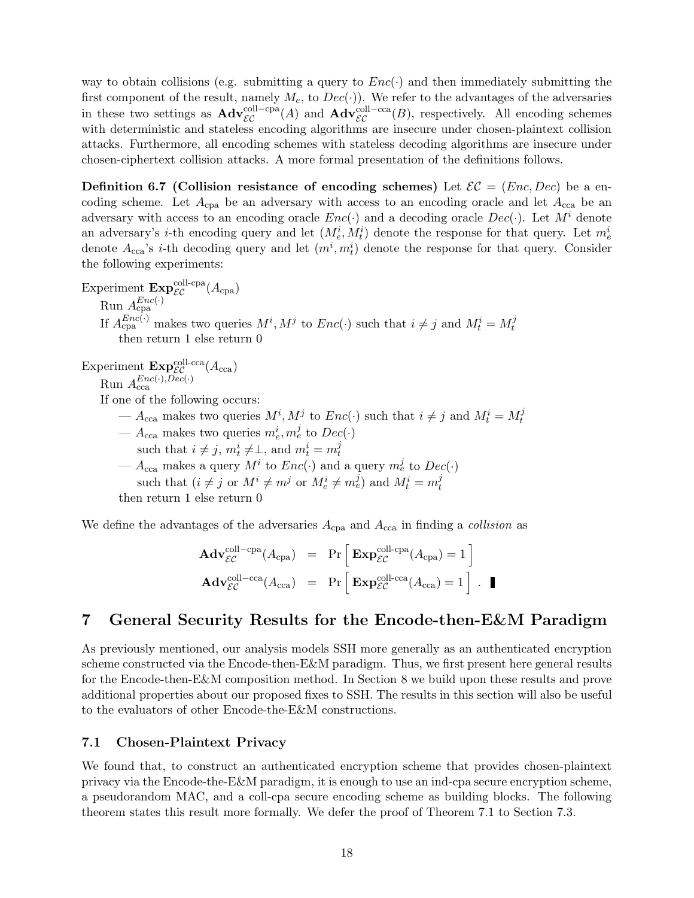way to obtain collisions (e.g. submitting a query to  $Enc(\cdot)$  and then immediately submitting the first component of the result, namely  $M_e$ , to  $Dec(\cdot)$ ). We refer to the advantages of the adversaries in these two settings as  $\mathbf{Adv}_{\mathcal{EC}}^{\text{coll-cpa}}(A)$  and  $\mathbf{Adv}_{\mathcal{EC}}^{\text{coll-cca}}(B)$ , respectively. All encoding schemes with deterministic and stateless encoding algorithms are insecure under chosen-plaintext collision attacks. Furthermore, all encoding schemes with stateless decoding algorithms are insecure under chosen-ciphertext collision attacks. A more formal presentation of the definitions follows.

**Definition 6.7 (Collision resistance of encoding schemes)** Let  $\mathcal{EC} = (Enc, Dec)$  be a encoding scheme. Let  $A_{\text{cpa}}$  be an adversary with access to an encoding oracle and let  $A_{\text{cca}}$  be an adversary with access to an encoding oracle  $Enc(\cdot)$  and a decoding oracle  $Dec(\cdot)$ . Let  $M<sup>i</sup>$  denote an adversary's *i*-th encoding query and let  $(M_e^i, M_t^i)$  denote the response for that query. Let  $m_e^i$ denote  $A_{\text{cca}}$ 's *i*-th decoding query and let  $(m^i, m_t^i)$  denote the response for that query. Consider the following experiments:

Experiment  $\mathbf{Exp}^{\text{coll-cpa}}_{\mathcal{EC}}(A_{\text{cpa}})$ Run  $A_{\rm cpa}^{Enc(\cdot)}$ If  $A_{\text{cpa}}^{Enc(\cdot)}$  makes two queries  $M^i, M^j$  to  $Enc(\cdot)$  such that  $i \neq j$  and  $M_t^i = M_t^j$ then return 1 else return 0

Experiment  $\mathbf{Exp}^{\text{coll-cca}}_{\mathcal{EC}}(A_{\text{cca}})$ Run  $A_{\text{cca}}^{Enc(\cdot),Dec(\cdot)}$ 

If one of the following occurs:

- $-A_{\text{cca}}$  makes two queries  $M^i, M^j$  to  $Enc(\cdot)$  such that  $i \neq j$  and  $M_t^i = M_t^j$
- $A_{\text{cca}}$  makes two queries  $m_e^i, m_e^j$  to  $Dec(\cdot)$
- such that  $i \neq j$ ,  $m_t^i \neq \perp$ , and  $m_t^i = m_t^j$ t
- $-A_{\text{cca}}$  makes a query  $M^i$  to  $Enc(\cdot)$  and a query  $m_e^j$  to  $Dec(\cdot)$
- such that  $(i \neq j$  or  $M^i \neq m^j$  or  $M^i_e \neq m^j_e$ ) and  $M^i_t = m^j_t$ t

then return 1 else return 0

We define the advantages of the adversaries  $A_{\text{cpa}}$  and  $A_{\text{cca}}$  in finding a *collision* as

$$
\mathbf{Adv}_{\mathcal{EC}}^{\text{coll-cpa}}(A_{\text{cpa}}) = \Pr \Big[ \mathbf{Exp}_{\mathcal{EC}}^{\text{coll-cpa}}(A_{\text{cpa}}) = 1 \Big]
$$
  

$$
\mathbf{Adv}_{\mathcal{EC}}^{\text{coll-cca}}(A_{\text{cca}}) = \Pr \Big[ \mathbf{Exp}_{\mathcal{EC}}^{\text{coll-cca}}(A_{\text{cca}}) = 1 \Big] . \blacksquare
$$

# 7 General Security Results for the Encode-then-E&M Paradigm

As previously mentioned, our analysis models SSH more generally as an authenticated encryption scheme constructed via the Encode-then-E&M paradigm. Thus, we first present here general results for the Encode-then-E&M composition method. In Section 8 we build upon these results and prove additional properties about our proposed fixes to SSH. The results in this section will also be useful to the evaluators of other Encode-the-E&M constructions.

### 7.1 Chosen-Plaintext Privacy

We found that, to construct an authenticated encryption scheme that provides chosen-plaintext privacy via the Encode-the-E&M paradigm, it is enough to use an ind-cpa secure encryption scheme, a pseudorandom MAC, and a coll-cpa secure encoding scheme as building blocks. The following theorem states this result more formally. We defer the proof of Theorem 7.1 to Section 7.3.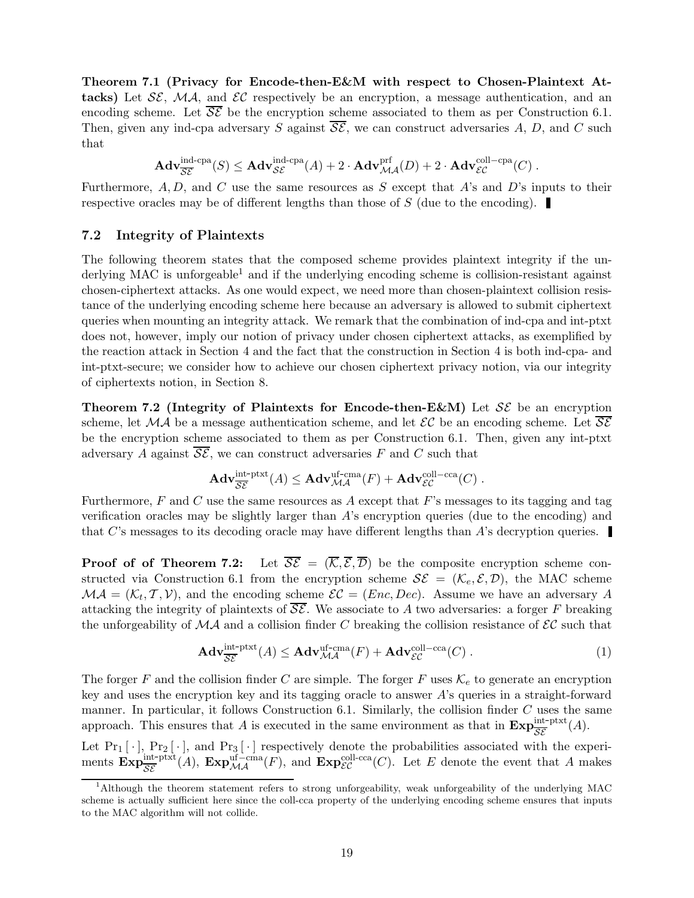Theorem 7.1 (Privacy for Encode-then-E&M with respect to Chosen-Plaintext Attacks) Let  $\mathcal{S}\mathcal{E}, \mathcal{M}\mathcal{A}$ , and  $\mathcal{E}\mathcal{C}$  respectively be an encryption, a message authentication, and an encoding scheme. Let  $\overline{\mathcal{SE}}$  be the encryption scheme associated to them as per Construction 6.1. Then, given any ind-cpa adversary S against  $\overline{\mathcal{SE}}$ , we can construct adversaries A, D, and C such that

$$
\mathbf{Adv}_{\overline{\mathcal{SE}}}^{\mathrm{ind-cpa}}(S) \leq \mathbf{Adv}_{\mathcal{SE}}^{\mathrm{ind-cpa}}(A) + 2\cdot \mathbf{Adv}_{\mathcal{MA}}^{\mathrm{prf}}(D) + 2\cdot \mathbf{Adv}_{\mathcal{EC}}^{\mathrm{coll-cpa}}(C)\ .
$$

Furthermore,  $A, D$ , and C use the same resources as S except that A's and D's inputs to their respective oracles may be of different lengths than those of S (due to the encoding).

#### 7.2 Integrity of Plaintexts

The following theorem states that the composed scheme provides plaintext integrity if the underlying MAC is unforgeable<sup>1</sup> and if the underlying encoding scheme is collision-resistant against chosen-ciphertext attacks. As one would expect, we need more than chosen-plaintext collision resistance of the underlying encoding scheme here because an adversary is allowed to submit ciphertext queries when mounting an integrity attack. We remark that the combination of ind-cpa and int-ptxt does not, however, imply our notion of privacy under chosen ciphertext attacks, as exemplified by the reaction attack in Section 4 and the fact that the construction in Section 4 is both ind-cpa- and int-ptxt-secure; we consider how to achieve our chosen ciphertext privacy notion, via our integrity of ciphertexts notion, in Section 8.

**Theorem 7.2 (Integrity of Plaintexts for Encode-then-E&M)** Let  $\mathcal{S}\mathcal{E}$  be an encryption scheme, let  $MA$  be a message authentication scheme, and let  $\mathcal{EC}$  be an encoding scheme. Let  $\overline{\mathcal{SE}}$ be the encryption scheme associated to them as per Construction 6.1. Then, given any int-ptxt adversary A against  $\overline{\mathcal{SE}}$ , we can construct adversaries F and C such that

$$
\mathbf{Adv}_{\mathcal{SE}}^{\text{int-ptxt}}(A) \leq \mathbf{Adv}_{\mathcal{MA}}^{\text{uf-cma}}(F) + \mathbf{Adv}_{\mathcal{EC}}^{\text{coll-cca}}(C) .
$$

Furthermore, F and C use the same resources as A except that F's messages to its tagging and tag verification oracles may be slightly larger than A's encryption queries (due to the encoding) and that C's messages to its decoding oracle may have different lengths than A's decryption queries.

**Proof of of Theorem 7.2:** Let  $\overline{\mathcal{SE}} = (\overline{\mathcal{K}}, \overline{\mathcal{E}}, \overline{\mathcal{D}})$  be the composite encryption scheme constructed via Construction 6.1 from the encryption scheme  $\mathcal{SE} = (\mathcal{K}_e, \mathcal{E}, \mathcal{D})$ , the MAC scheme  $\mathcal{MA} = (\mathcal{K}_t, \mathcal{T}, \mathcal{V})$ , and the encoding scheme  $\mathcal{EC} = (Enc, Dec)$ . Assume we have an adversary A attacking the integrity of plaintexts of  $\overline{\mathcal{SE}}$ . We associate to A two adversaries: a forger F breaking the unforgeability of  ${\cal MA}$  and a collision finder C breaking the collision resistance of  $\mathcal{EC}$  such that

$$
\mathbf{Adv}_{\overline{\mathcal{SE}}}^{\text{int-ptxt}}(A) \leq \mathbf{Adv}_{\mathcal{MA}}^{\text{uf-cma}}(F) + \mathbf{Adv}_{\mathcal{EC}}^{\text{coll-cca}}(C) . \tag{1}
$$

The forger F and the collision finder C are simple. The forger F uses  $\mathcal{K}_e$  to generate an encryption key and uses the encryption key and its tagging oracle to answer  $A$ 's queries in a straight-forward manner. In particular, it follows Construction 6.1. Similarly, the collision finder  $C$  uses the same approach. This ensures that A is executed in the same environment as that in  $\mathbf{Exp}_{\overline{\mathcal{SE}}}^{\text{int-ptxt}}(A)$ .

Let  $Pr_1[\cdot]$ ,  $Pr_2[\cdot]$ , and  $Pr_3[\cdot]$  respectively denote the probabilities associated with the experiments  $\mathbf{Exp}_{\overline{\mathcal{SE}}}^{\text{int-pixt}}(A)$ ,  $\mathbf{Exp}_{\mathcal{MA}}^{\text{uf-cma}}(F)$ , and  $\mathbf{Exp}_{\mathcal{EC}}^{\text{coll-cca}}(C)$ . Let E denote the event that A makes

<sup>1</sup>Although the theorem statement refers to strong unforgeability, weak unforgeability of the underlying MAC scheme is actually sufficient here since the coll-cca property of the underlying encoding scheme ensures that inputs to the MAC algorithm will not collide.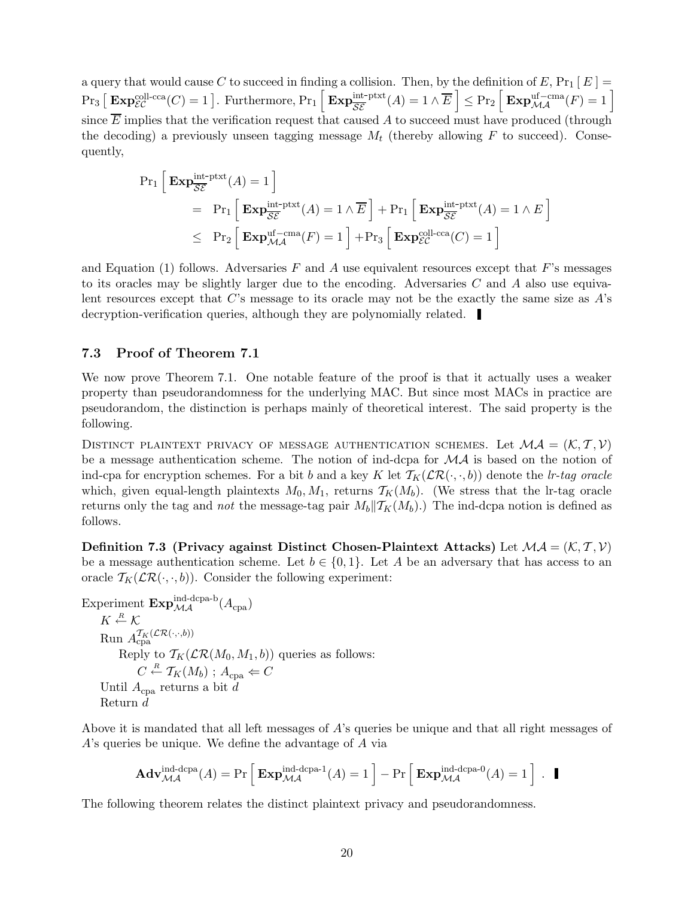a query that would cause C to succeed in finding a collision. Then, by the definition of E,  $Pr_1 [E] =$  $\Pr_3\left[\ \mathbf{Exp}^{\text{coll-cca}}_{\mathcal{EC}}(C) = 1 \right].$  Furthermore,  $\Pr_1\left[\ \mathbf{Exp}^{\text{int-pts}}_{\overline{\mathcal{SE}}}(A) = 1 \wedge \overline{E} \right] \leq \Pr_2\left[\ \mathbf{Exp}^{\text{uf-cma}}_{\mathcal{MA}}(F) = 1 \right]$ since  $\overline{E}$  implies that the verification request that caused A to succeed must have produced (through the decoding) a previously unseen tagging message  $M_t$  (thereby allowing F to succeed). Consequently,

$$
\Pr_1\left[\mathbf{Exp}_{\overline{\mathcal{SE}}}^{\text{int-ptxt}}(A) = 1\right]
$$
\n
$$
= \Pr_1\left[\mathbf{Exp}_{\overline{\mathcal{SE}}}^{\text{int-ptxt}}(A) = 1 \wedge \overline{E}\right] + \Pr_1\left[\mathbf{Exp}_{\overline{\mathcal{SE}}}^{\text{int-ptxt}}(A) = 1 \wedge E\right]
$$
\n
$$
\leq \Pr_2\left[\mathbf{Exp}_{\mathcal{MA}}^{\text{uf-cma}}(F) = 1\right] + \Pr_3\left[\mathbf{Exp}_{\mathcal{EC}}^{\text{coll-cca}}(C) = 1\right]
$$

and Equation (1) follows. Adversaries  $F$  and  $A$  use equivalent resources except that  $F$ 's messages to its oracles may be slightly larger due to the encoding. Adversaries  $C$  and  $A$  also use equivalent resources except that  $C$ 's message to its oracle may not be the exactly the same size as  $A$ 's decryption-verification queries, although they are polynomially related.

#### 7.3 Proof of Theorem 7.1

We now prove Theorem 7.1. One notable feature of the proof is that it actually uses a weaker property than pseudorandomness for the underlying MAC. But since most MACs in practice are pseudorandom, the distinction is perhaps mainly of theoretical interest. The said property is the following.

DISTINCT PLAINTEXT PRIVACY OF MESSAGE AUTHENTICATION SCHEMES. Let  $\mathcal{MA} = (\mathcal{K}, \mathcal{T}, \mathcal{V})$ be a message authentication scheme. The notion of ind-dcpa for  ${\cal MA}$  is based on the notion of ind-cpa for encryption schemes. For a bit b and a key K let  $\mathcal{T}_K(\mathcal{LR}(\cdot,\cdot,b))$  denote the lr-tag oracle which, given equal-length plaintexts  $M_0, M_1$ , returns  $\mathcal{T}_K(M_b)$ . (We stress that the lr-tag oracle returns only the tag and *not* the message-tag pair  $M_b\|\mathcal{T}_K(M_b)$ .) The ind-dcpa notion is defined as follows.

Definition 7.3 (Privacy against Distinct Chosen-Plaintext Attacks) Let  $\mathcal{MA} = (\mathcal{K}, \mathcal{T}, \mathcal{V})$ be a message authentication scheme. Let  $b \in \{0,1\}$ . Let A be an adversary that has access to an oracle  $\mathcal{T}_K(\mathcal{LR}(\cdot,\cdot,b))$ . Consider the following experiment:

Experiment 
$$
\text{Exp}_{\mathcal{MA}}^{\text{ind-dcpa-b}}(A_{\text{cpa}})
$$
\n $K \stackrel{R}{\leftarrow} \mathcal{K}$ \n\nRun  $A_{\text{cpa}}^{\mathcal{T}_K(\mathcal{LR}(\cdot,\cdot,b))}$ \n\nReply to  $\mathcal{T}_K(\mathcal{LR}(M_0, M_1, b))$  queries as follows:\n\n $C \stackrel{R}{\leftarrow} \mathcal{T}_K(M_b)$ ;  $A_{\text{cpa}} \leftarrow C$ \n\nUntil  $A_{\text{cpa}}$  returns a bit  $d$ \n\nReturn  $d$ 

Above it is mandated that all left messages of A's queries be unique and that all right messages of A's queries be unique. We define the advantage of A via

$$
\mathbf{Adv}_{\mathcal{MA}}^{\text{ind-dcpa}}(A) = \Pr\left[\ \mathbf{Exp}_{\mathcal{MA}}^{\text{ind-dcpa-1}}(A) = 1 \ \right] - \Pr\left[\ \mathbf{Exp}_{\mathcal{MA}}^{\text{ind-dcpa-0}}(A) = 1 \ \right] . \ \blacksquare
$$

The following theorem relates the distinct plaintext privacy and pseudorandomness.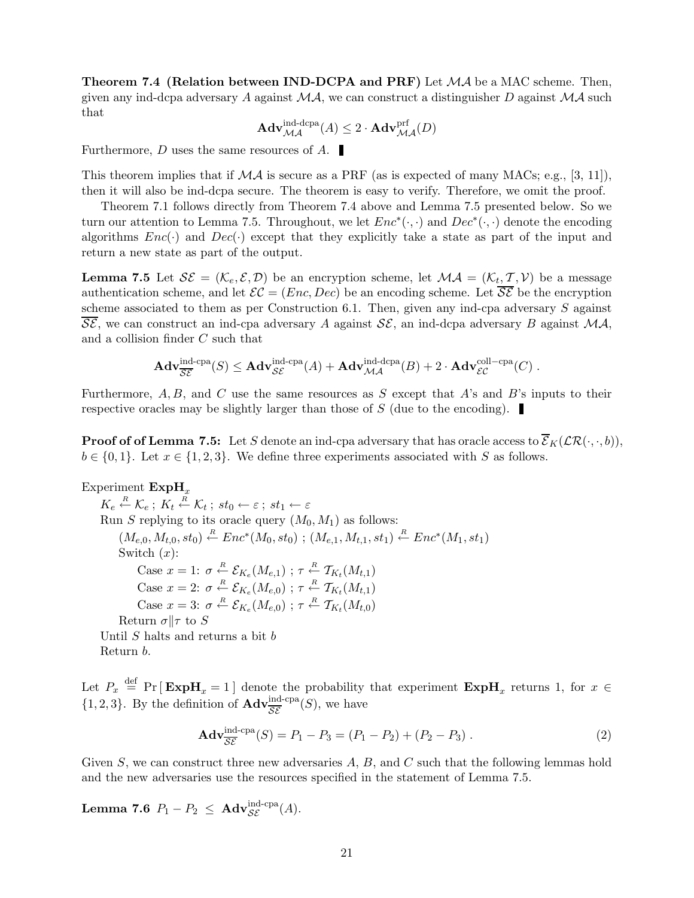**Theorem 7.4 (Relation between IND-DCPA and PRF)** Let  $\mathcal{MA}$  be a MAC scheme. Then, given any ind-dcpa adversary A against  $\mathcal{MA}$ , we can construct a distinguisher D against  $\mathcal{MA}$  such that

$$
\mathbf{Adv}_{\mathcal{MA}}^{\mathrm{ind\text{-}dropa}}(A) \leq 2 \cdot \mathbf{Adv}_{\mathcal{MA}}^{\mathrm{prf}}(D)
$$

Furthermore, D uses the same resources of A.

This theorem implies that if  $\mathcal{MA}$  is secure as a PRF (as is expected of many MACs; e.g., [3, 11]), then it will also be ind-dcpa secure. The theorem is easy to verify. Therefore, we omit the proof.

Theorem 7.1 follows directly from Theorem 7.4 above and Lemma 7.5 presented below. So we turn our attention to Lemma 7.5. Throughout, we let  $Enc^*(\cdot, \cdot)$  and  $Dec^*(\cdot, \cdot)$  denote the encoding algorithms  $Enc(\cdot)$  and  $Dec(\cdot)$  except that they explicitly take a state as part of the input and return a new state as part of the output.

**Lemma 7.5** Let  $\mathcal{SE} = (\mathcal{K}_e, \mathcal{E}, \mathcal{D})$  be an encryption scheme, let  $\mathcal{MA} = (\mathcal{K}_t, \mathcal{T}, \mathcal{V})$  be a message authentication scheme, and let  $\mathcal{EC} = (Enc, Dec)$  be an encoding scheme. Let  $\overline{\mathcal{SE}}$  be the encryption scheme associated to them as per Construction 6.1. Then, given any ind-cpa adversary S against  $\overline{\mathcal{SE}}$ , we can construct an ind-cpa adversary A against  $\mathcal{SE}$ , an ind-dcpa adversary B against  $\mathcal{MA}$ , and a collision finder C such that

$$
\mathbf{Adv}_{\overline{\mathcal{SE}}}^{\text{ind-cpa}}(S) \leq \mathbf{Adv}_{\mathcal{SE}}^{\text{ind-cpa}}(A) + \mathbf{Adv}_{\mathcal{MA}}^{\text{ind-cpa}}(B) + 2 \cdot \mathbf{Adv}_{\mathcal{EC}}^{\text{coll-cpa}}(C) .
$$

Furthermore,  $A, B$ , and C use the same resources as S except that A's and B's inputs to their respective oracles may be slightly larger than those of  $S$  (due to the encoding).

**Proof of of Lemma 7.5:** Let S denote an ind-cpa adversary that has oracle access to  $\overline{\mathcal{E}}_K(\mathcal{LR}(\cdot,\cdot,b))$ ,  $b \in \{0,1\}$ . Let  $x \in \{1,2,3\}$ . We define three experiments associated with S as follows.

#### Experiment  $\mathbf{ExpH}_{x}$

 $K_e \stackrel{R}{\leftarrow} \mathcal{K}_e$ ;  $K_t \stackrel{R}{\leftarrow} \mathcal{K}_t$ ;  $st_0 \leftarrow \varepsilon$ ;  $st_1 \leftarrow \varepsilon$ Run S replying to its oracle query  $(M_0, M_1)$  as follows:  $(M_{e,0}, M_{t,0}, st_0) \stackrel{R}{\leftarrow} Enc^*(M_0, st_0)$ ;  $(M_{e,1}, M_{t,1}, st_1) \stackrel{R}{\leftarrow} Enc^*(M_1, st_1)$ Switch  $(x)$ : Case  $x = 1$ :  $\sigma \stackrel{R}{\leftarrow} \mathcal{E}_{K_e}(M_{e,1})$ ;  $\tau \stackrel{R}{\leftarrow} \mathcal{T}_{K_t}(M_{t,1})$ Case  $x = 2$ :  $\sigma \stackrel{R}{\leftarrow} \mathcal{E}_{K_e}(M_{e,0})$ ;  $\tau \stackrel{R}{\leftarrow} \mathcal{T}_{K_t}(M_{t,1})$ Case  $x = 3$ :  $\sigma \stackrel{R}{\leftarrow} \mathcal{E}_{K_e}(M_{e,0})$ ;  $\tau \stackrel{R}{\leftarrow} \mathcal{T}_{K_t}(M_{t,0})$ Return  $\sigma$ || $\tau$  to S Until  $S$  halts and returns a bit  $b$ Return b.

Let  $P_x \stackrel{\text{def}}{=} \Pr[\mathbf{ExpH}_x = 1]$  denote the probability that experiment  $\mathbf{ExpH}_x$  returns 1, for  $x \in$  $\{1, 2, 3\}$ . By the definition of  $\mathbf{Adv}_{\overline{\mathcal{SE}}}^{\text{ind-cpa}}(S)$ , we have

$$
\mathbf{Adv}_{\overline{\mathcal{SE}}}^{\text{ind-cpa}}(S) = P_1 - P_3 = (P_1 - P_2) + (P_2 - P_3) . \tag{2}
$$

Given S, we can construct three new adversaries  $A, B$ , and C such that the following lemmas hold and the new adversaries use the resources specified in the statement of Lemma 7.5.

Lemma 7.6  $P_1 - P_2 \leq \text{Adv}_{\mathcal{SE}}^{\text{ind-cpa}}(A).$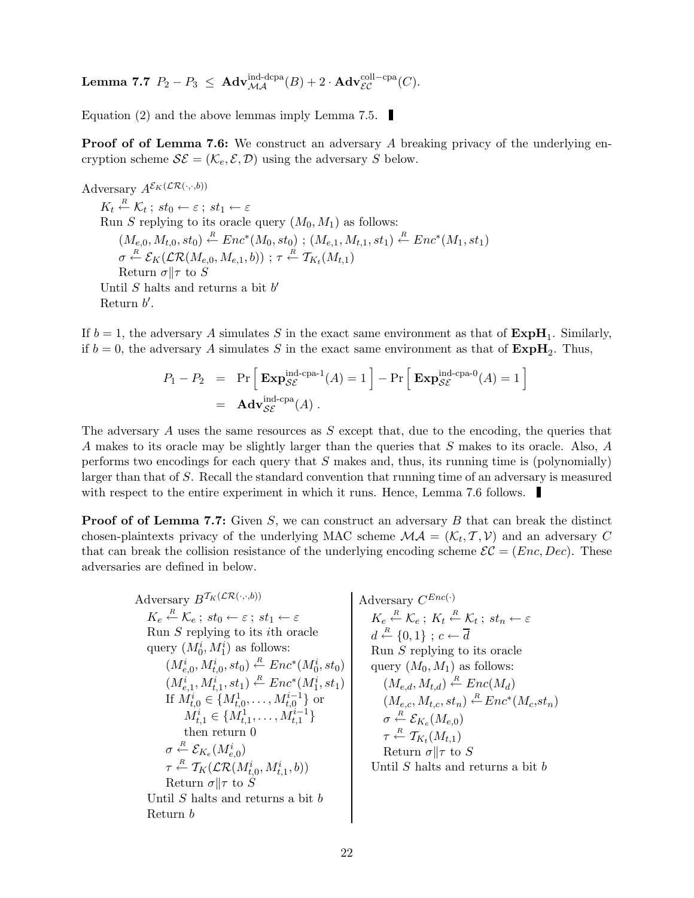Lemma 7.7  $P_2 - P_3 \ \leq \ \mathbf{Adv}_{\mathcal{MA}}^{\text{ind-dcpa}}(B) + 2 \cdot \mathbf{Adv}_{\mathcal{EC}}^{\text{coll-cpa}}(C).$ 

Equation (2) and the above lemmas imply Lemma 7.5.  $\blacksquare$ 

**Proof of Lemma 7.6:** We construct an adversary A breaking privacy of the underlying encryption scheme  $\mathcal{S}\mathcal{E} = (\mathcal{K}_e, \mathcal{E}, \mathcal{D})$  using the adversary S below.

Adversary  $A^{\mathcal{E}_K(\mathcal{LR}(\cdot,\cdot,b))}$  $K_t \stackrel{R}{\leftarrow} \mathcal{K}_t$ ;  $st_0 \leftarrow \varepsilon$ ;  $st_1 \leftarrow \varepsilon$ Run S replying to its oracle query  $(M_0, M_1)$  as follows:  $(M_{e,0}, M_{t,0}, st_0) \stackrel{R}{\leftarrow} Enc^*(M_0, st_0)$ ;  $(M_{e,1}, M_{t,1}, st_1) \stackrel{R}{\leftarrow} Enc^*(M_1, st_1)$  $\sigma \stackrel{R}{\leftarrow} \mathcal{E}_K(\mathcal{LR}(M_{e,0},M_{e,1},b))$  ;  $\tau \stackrel{R}{\leftarrow} \mathcal{T}_{K_t}(M_{t,1})$ Return  $\sigma$ || $\tau$  to S Until  $S$  halts and returns a bit  $b'$ Return  $b'$ .

If  $b = 1$ , the adversary A simulates S in the exact same environment as that of  $\text{ExpH}_1$ . Similarly, if  $b = 0$ , the adversary A simulates S in the exact same environment as that of  $\text{ExpH}_2$ . Thus,

$$
P_1 - P_2 = \Pr \left[ \mathbf{Exp}_{\mathcal{SE}}^{\text{ind-cpa-1}}(A) = 1 \right] - \Pr \left[ \mathbf{Exp}_{\mathcal{SE}}^{\text{ind-cpa-0}}(A) = 1 \right]
$$
  
= 
$$
\mathbf{Adv}_{\mathcal{SE}}^{\text{ind-cpa}}(A) .
$$

The adversary  $A$  uses the same resources as  $S$  except that, due to the encoding, the queries that A makes to its oracle may be slightly larger than the queries that S makes to its oracle. Also, A performs two encodings for each query that  $S$  makes and, thus, its running time is (polynomially) larger than that of S. Recall the standard convention that running time of an adversary is measured with respect to the entire experiment in which it runs. Hence, Lemma 7.6 follows.

**Proof of Lemma 7.7:** Given S, we can construct an adversary B that can break the distinct chosen-plaintexts privacy of the underlying MAC scheme  $\mathcal{MA} = (\mathcal{K}_t, \mathcal{T}, \mathcal{V})$  and an adversary C that can break the collision resistance of the underlying encoding scheme  $\mathcal{EC} = (Enc, Dec)$ . These adversaries are defined in below.

Adversary  $B^{\mathcal{T}_{K}(\mathcal{LR}(\cdot,\cdot,b))}$  $K_e \stackrel{R}{\leftarrow} \mathcal{K}_e$ ;  $st_0 \leftarrow \varepsilon$ ;  $st_1 \leftarrow \varepsilon$ Run S replying to its ith oracle query  $(M_0^i, M_1^i)$  as follows:  $j_0^i, M_1^i$  as follows:  $(M_{e,0}^i,M_{t,0}^i, st_0) \stackrel{R}{\leftarrow} Enc^*(M_0^i, st_0)$  $(M_{e,1}^i,M_{t,1}^i, st_1) \stackrel{R}{\leftarrow} Enc^*(M_1^i,st_1)$ If  $M_{t,0}^i \in \{M_{t,0}^1, \ldots, M_{t,0}^{i-1}\}$  or  $M_{t,1}^i \in \{M_{t,1}^1, \ldots, M_{t,1}^{i-1}\}$ then return 0  $\sigma \stackrel{R}{\leftarrow} \mathcal{E}_{K_e}(M^i_{e,0})$  $\tau \overset{R}{\leftarrow} \mathcal{T}_{K}(\mathcal{LR}(M^{i}_{t,0}, M^{i}_{t,1}, b))$ Return  $\sigma \|\tau$  to S Until  $S$  halts and returns a bit  $b$ Return b Adversary  $C^{Enc(\cdot)}$  $K_e \stackrel{R}{\leftarrow} \mathcal{K}_e$ ;  $K_t \stackrel{R}{\leftarrow} \mathcal{K}_t$ ;  $st_n \leftarrow \varepsilon$  $d \stackrel{R}{\leftarrow} \{0,1\}$ ;  $c \leftarrow \overline{d}$ Run S replying to its oracle query  $(M_0, M_1)$  as follows:  $(M_{e,d}, M_{t,d}) \stackrel{R}{\leftarrow} Enc(M_d)$  $(M_{e,c}, M_{t,c}, st_n) \stackrel{R}{\leftarrow} Enc^*(M_c, st_n)$  $\sigma \stackrel{R}{\leftarrow} \mathcal{E}_{K_e}(M_{e,0})$  $\tau \overset{R}{\leftarrow} \mathcal{T}_{K_t}(M_{t,1})$ Return  $\sigma\|\tau$  to  $S$ Until  $S$  halts and returns a bit  $b$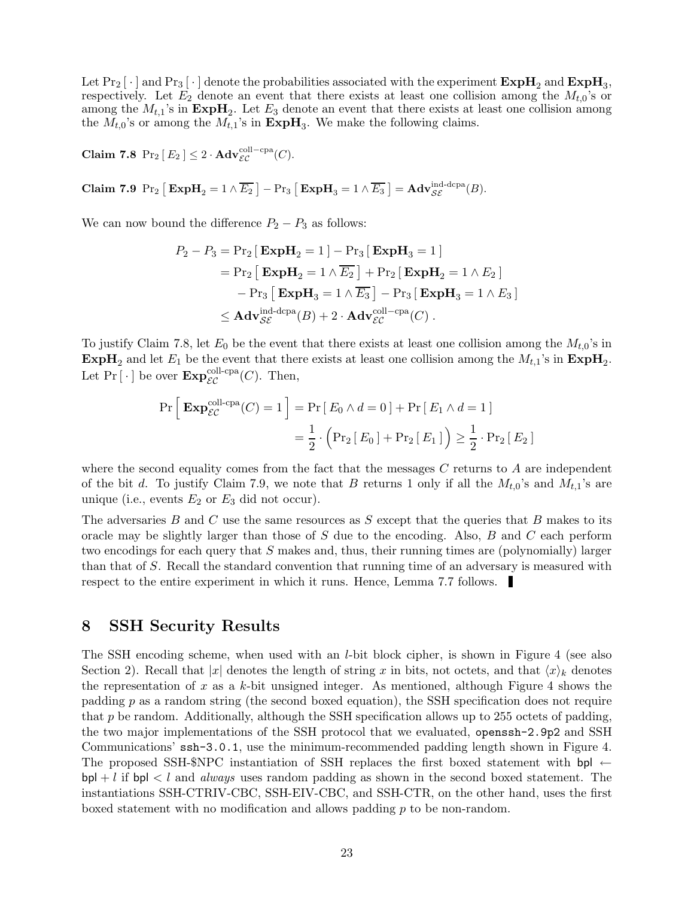Let Pr<sub>2</sub>  $[\cdot]$  and Pr<sub>3</sub>  $[\cdot]$  denote the probabilities associated with the experiment  $\textbf{ExpH}_2$  and  $\textbf{ExpH}_3$ , respectively. Let  $E_2$  denote an event that there exists at least one collision among the  $M_{t,0}$ 's or among the  $M_{t,1}$ 's in  $\text{ExpH}_2$ . Let  $E_3$  denote an event that there exists at least one collision among the  $M_{t,0}$ 's or among the  $M_{t,1}$ 's in  $\text{ExpH}_3$ . We make the following claims.

Claim 7.8  $Pr_2[E_2] \leq 2 \cdot \text{Adv}_{\mathcal{EC}}^{\text{coll-cpa}}(C).$ 

 $\textbf{Claim 7.9} \ \Pr_2 \big[ \ \textbf{ExpH}_2 = 1 \land \overline{E_2} \ \big] - \Pr_3 \big[ \ \textbf{ExpH}_3 = 1 \land \overline{E_3} \ \big] = \textbf{Adv}_{\mathcal{SE}}^{\text{ind-depa}}(B).$ 

We can now bound the difference  $P_2 - P_3$  as follows:

$$
P_2 - P_3 = \Pr_2 [\mathbf{ExpH}_2 = 1] - \Pr_3 [\mathbf{ExpH}_3 = 1]
$$
  
=  $\Pr_2 [\mathbf{ExpH}_2 = 1 \land \overline{E_2}] + \Pr_2 [\mathbf{ExpH}_2 = 1 \land E_2]$   
 $- \Pr_3 [\mathbf{ExpH}_3 = 1 \land \overline{E_3}] - \Pr_3 [\mathbf{ExpH}_3 = 1 \land E_3]$   
 $\leq \mathbf{Adv}_{\mathcal{SE}}^{\text{ind-depa}}(B) + 2 \cdot \mathbf{Adv}_{\mathcal{EC}}^{\text{coll-cpa}}(C) .$ 

To justify Claim 7.8, let  $E_0$  be the event that there exists at least one collision among the  $M_{t,0}$ 's in **ExpH**<sub>2</sub> and let  $E_1$  be the event that there exists at least one collision among the  $M_{t,1}$ 's in  $\text{ExpH}_2$ . Let Pr [ $\cdot$ ] be over  $\mathbf{Exp}_{\mathcal{EC}}^{\text{coll-cpa}}(C)$ . Then,

$$
\Pr\left[\mathbf{Exp}_{\mathcal{EC}}^{\text{coll-cpa}}(C) = 1\right] = \Pr\left[E_0 \land d = 0\right] + \Pr\left[E_1 \land d = 1\right]
$$

$$
= \frac{1}{2} \cdot \left(\Pr_2\left[E_0\right] + \Pr_2\left[E_1\right]\right) \ge \frac{1}{2} \cdot \Pr_2\left[E_2\right]
$$

where the second equality comes from the fact that the messages  $C$  returns to  $A$  are independent of the bit d. To justify Claim 7.9, we note that B returns 1 only if all the  $M_{t,0}$ 's and  $M_{t,1}$ 's are unique (i.e., events  $E_2$  or  $E_3$  did not occur).

The adversaries B and C use the same resources as S except that the queries that B makes to its oracle may be slightly larger than those of  $S$  due to the encoding. Also,  $B$  and  $C$  each perform two encodings for each query that S makes and, thus, their running times are (polynomially) larger than that of S. Recall the standard convention that running time of an adversary is measured with respect to the entire experiment in which it runs. Hence, Lemma 7.7 follows.

## 8 SSH Security Results

The SSH encoding scheme, when used with an *l*-bit block cipher, is shown in Figure 4 (see also Section 2). Recall that  $|x|$  denotes the length of string x in bits, not octets, and that  $\langle x \rangle_k$  denotes the representation of  $x$  as a  $k$ -bit unsigned integer. As mentioned, although Figure 4 shows the padding  $p$  as a random string (the second boxed equation), the SSH specification does not require that p be random. Additionally, although the SSH specification allows up to 255 octets of padding, the two major implementations of the SSH protocol that we evaluated, openssh-2.9p2 and SSH Communications' ssh-3.0.1, use the minimum-recommended padding length shown in Figure 4. The proposed SSH-\$NPC instantiation of SSH replaces the first boxed statement with  $p \in \mathbb{R}$  $bpl + l$  if  $bpl < l$  and *always* uses random padding as shown in the second boxed statement. The instantiations SSH-CTRIV-CBC, SSH-EIV-CBC, and SSH-CTR, on the other hand, uses the first boxed statement with no modification and allows padding p to be non-random.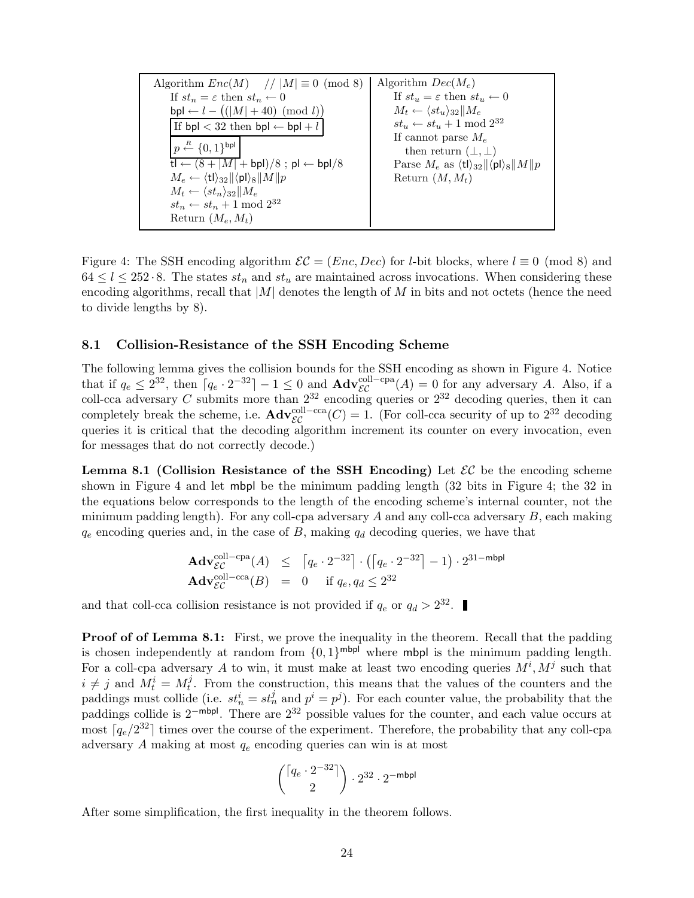Algorithm 
$$
Enc(M) \quad // \quad |M| \equiv 0 \pmod{8}
$$
  
\nIf  $st_n = \varepsilon$  then  $st_n \leftarrow 0$   
\n $bf \ bP \leftarrow l - ((|M| + 40) \pmod{l})$   
\nIf  $bt_u = \varepsilon$  then  $st_u \leftarrow 0$   
\nIf  $st_u = \varepsilon$  then  $st_u \leftarrow 0$   
\nIf  $st_u = \varepsilon$  then  $st_u \leftarrow 0$   
\nIf  $st_u = \varepsilon$  then  $st_u \leftarrow 0$   
\nIf  $st_u = \varepsilon$  then  $st_u \leftarrow 0$   
\nIf  $st_u = \varepsilon$  then  $st_u \leftarrow 0$   
\nIf  $st_u = \varepsilon$  then  $st_u \leftarrow 0$   
\nIf  $st_u = \varepsilon$  then  $st_u \leftarrow 0$   
\nIf  $st_u = \varepsilon$  then  $st_u \leftarrow 0$   
\nIf  $st_u = \varepsilon$  then  $st_u \leftarrow 0$   
\nIf  $st_u = \varepsilon$  then  $st_u \leftarrow 0$   
\nIf  $st_u = \varepsilon$  then  $st_u \leftarrow 0$   
\nIf  $st_u = \varepsilon$  then  $st_u \leftarrow 0$   
\nIf  $st_u = \varepsilon$  then  $st_u \leftarrow 0$   
\nIf  $st_u = \varepsilon$  then  $st_u \leftarrow 0$   
\nIf  $st_u = \varepsilon$  then  $st_u \leftarrow 0$   
\nIf  $st_u \leftarrow st_u + 1 \mod 2^{32}$   
\nIf cannot parse  $M_e$   
\nthen return  $(\perp, \perp)$   
\nHere  $M_e$  as  $\langle t \rangle_{32} ||\langle p \rangle_{8} ||M||p$   
\n $M_t \leftarrow \langle st_u \rangle_{32} ||M_e$   
\n $st_u \leftarrow st_u + 1 \mod 2^{32}$   
\nReturn  $(M, M_t)$   
\n $M_t$   
\n $M$ 

Figure 4: The SSH encoding algorithm  $\mathcal{EC} = (Enc, Dec)$  for *l*-bit blocks, where  $l \equiv 0 \pmod{8}$  and  $64 \leq l \leq 252 \cdot 8$ . The states  $st_n$  and  $st_u$  are maintained across invocations. When considering these encoding algorithms, recall that  $|M|$  denotes the length of  $M$  in bits and not octets (hence the need to divide lengths by 8).

### 8.1 Collision-Resistance of the SSH Encoding Scheme

The following lemma gives the collision bounds for the SSH encoding as shown in Figure 4. Notice that if  $q_e \leq 2^{32}$ , then  $\lceil q_e \cdot 2^{-32} \rceil - 1 \leq 0$  and  $\text{Adv}_{\mathcal{EC}}^{\text{coll-cpa}}(A) = 0$  for any adversary A. Also, if a coll-cca adversary C submits more than  $2^{32}$  encoding queries or  $2^{32}$  decoding queries, then it can completely break the scheme, i.e.  $\mathbf{Adv}_{\mathcal{EC}}^{\text{coll--cca}}(C) = 1$ . (For coll-cca security of up to  $2^{32}$  decoding queries it is critical that the decoding algorithm increment its counter on every invocation, even for messages that do not correctly decode.)

Lemma 8.1 (Collision Resistance of the SSH Encoding) Let  $\mathcal{EC}$  be the encoding scheme shown in Figure 4 and let mbpl be the minimum padding length (32 bits in Figure 4; the 32 in the equations below corresponds to the length of the encoding scheme's internal counter, not the minimum padding length). For any coll-cpa adversary  $A$  and any coll-cca adversary  $B$ , each making  $q_e$  encoding queries and, in the case of B, making  $q_d$  decoding queries, we have that

$$
\begin{array}{rcl}\n\mathbf{Adv}_{\mathcal{EC}}^{\text{coll-cpa}}(A) & \leq & \left\lceil q_e \cdot 2^{-32} \right\rceil \cdot \left( \left\lceil q_e \cdot 2^{-32} \right\rceil - 1 \right) \cdot 2^{31 - \mathsf{mbpl}} \\
\mathbf{Adv}_{\mathcal{EC}}^{\text{coll-cca}}(B) & = & 0 \quad \text{if } q_e, q_d \leq 2^{32}\n\end{array}
$$

and that coll-cca collision resistance is not provided if  $q_e$  or  $q_d > 2^{32}$ .

**Proof of Lemma 8.1:** First, we prove the inequality in the theorem. Recall that the padding is chosen independently at random from  $\{0,1\}^{\text{mbpl}}$  where mbpl is the minimum padding length. For a coll-cpa adversary A to win, it must make at least two encoding queries  $M^i, M^j$  such that  $i \neq j$  and  $M_t^i = M_t^j$ . From the construction, this means that the values of the counters and the paddings must collide (i.e.  $st_n^i = st_n^j$  and  $p^i = p^j$ ). For each counter value, the probability that the paddings collide is 2<sup>−mbpl</sup>. There are 2<sup>32</sup> possible values for the counter, and each value occurs at most  $\lceil q_e/2^{32} \rceil$  times over the course of the experiment. Therefore, the probability that any coll-cpa adversary  $A$  making at most  $q_e$  encoding queries can win is at most

$$
\binom{\lceil q_e\cdot 2^{-32}\rceil}{2}\cdot 2^{32}\cdot 2^{-\mathsf{mbpl}}
$$

After some simplification, the first inequality in the theorem follows.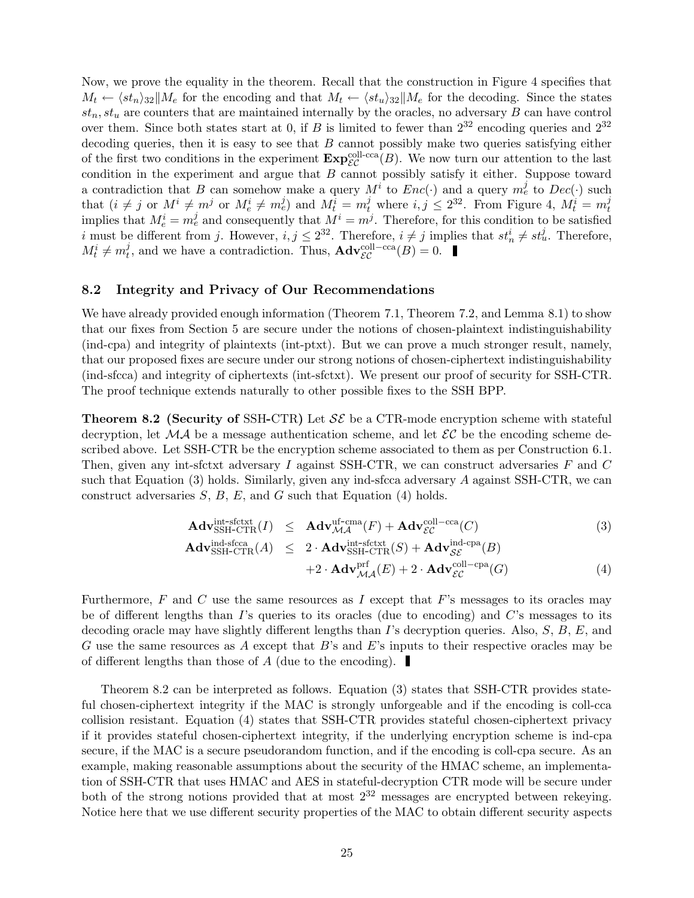Now, we prove the equality in the theorem. Recall that the construction in Figure 4 specifies that  $M_t \leftarrow \langle st_n \rangle_{32} || M_e$  for the encoding and that  $M_t \leftarrow \langle st_u \rangle_{32} || M_e$  for the decoding. Since the states  $st_n, st_u$  are counters that are maintained internally by the oracles, no adversary B can have control over them. Since both states start at 0, if B is limited to fewer than  $2^{32}$  encoding queries and  $2^{32}$ decoding queries, then it is easy to see that  $B$  cannot possibly make two queries satisfying either of the first two conditions in the experiment  $\mathbf{Exp}_{\mathcal{EC}}^{\text{coll-cca}}(B)$ . We now turn our attention to the last condition in the experiment and argue that  $B$  cannot possibly satisfy it either. Suppose toward a contradiction that B can somehow make a query  $M^i$  to  $Enc(\cdot)$  and a query  $m_e^j$  to  $Dec(\cdot)$  such that  $(i \neq j$  or  $M^i \neq m^j$  or  $M^i_e \neq m^j_e$  and  $M^i_t = m^j_t$  where  $i, j \leq 2^{32}$ . From Figure 4,  $M^i_t = m^j_t$ t implies that  $M_e^i = m_e^j$  and consequently that  $M^i = m^j$ . Therefore, for this condition to be satisfied i must be different from j. However,  $i, j \leq 2^{32}$ . Therefore,  $i \neq j$  implies that  $st_n^i \neq st_n^j$ . Therefore,  $M_t^i \neq m_t^j$  $t_t^j$ , and we have a contradiction. Thus,  $\mathbf{Adv}_{\mathcal{EC}}^{\text{coll--cca}}(B) = 0.$ 

#### 8.2 Integrity and Privacy of Our Recommendations

We have already provided enough information (Theorem 7.1, Theorem 7.2, and Lemma 8.1) to show that our fixes from Section 5 are secure under the notions of chosen-plaintext indistinguishability (ind-cpa) and integrity of plaintexts (int-ptxt). But we can prove a much stronger result, namely, that our proposed fixes are secure under our strong notions of chosen-ciphertext indistinguishability (ind-sfcca) and integrity of ciphertexts (int-sfctxt). We present our proof of security for SSH-CTR. The proof technique extends naturally to other possible fixes to the SSH BPP.

**Theorem 8.2 (Security of SSH-CTR)** Let  $S\mathcal{E}$  be a CTR-mode encryption scheme with stateful decryption, let  $\mathcal{MA}$  be a message authentication scheme, and let  $\mathcal{EC}$  be the encoding scheme described above. Let SSH-CTR be the encryption scheme associated to them as per Construction 6.1. Then, given any int-sfctxt adversary I against SSH-CTR, we can construct adversaries  $F$  and  $C$ such that Equation (3) holds. Similarly, given any ind-sfcca adversary A against SSH-CTR, we can construct adversaries  $S$ ,  $B$ ,  $E$ , and  $G$  such that Equation (4) holds.

$$
\mathbf{Adv}_{\mathrm{SSH-CTR}}^{\mathrm{int-}setext}(I) \leq \mathbf{Adv}_{\mathcal{MA}}^{\mathrm{uf-cma}}(F) + \mathbf{Adv}_{\mathcal{EC}}^{\mathrm{coll-cca}}(C) \tag{3}
$$

$$
\mathbf{Adv}_{\mathrm{SSH-CTR}}^{\mathrm{ind\text{-}sfcca}}(A) \leq 2 \cdot \mathbf{Adv}_{\mathrm{SSH-CTR}}^{\mathrm{int\text{-}sfctx}}(S) + \mathbf{Adv}_{\mathcal{SE}}^{\mathrm{ind\text{-}cpa}}(B) \n+2 \cdot \mathbf{Adv}_{\mathcal{MA}}^{\mathrm{prf}}(E) + 2 \cdot \mathbf{Adv}_{\mathcal{EC}}^{\mathrm{coll-cpa}}(G)
$$
\n(4)

Furthermore,  $F$  and  $C$  use the same resources as  $I$  except that  $F$ 's messages to its oracles may be of different lengths than  $\Gamma$ 's queries to its oracles (due to encoding) and  $C$ 's messages to its decoding oracle may have slightly different lengths than I's decryption queries. Also, S, B, E, and G use the same resources as A except that B's and E's inputs to their respective oracles may be of different lengths than those of  $A$  (due to the encoding).

Theorem 8.2 can be interpreted as follows. Equation (3) states that SSH-CTR provides stateful chosen-ciphertext integrity if the MAC is strongly unforgeable and if the encoding is coll-cca collision resistant. Equation (4) states that SSH-CTR provides stateful chosen-ciphertext privacy if it provides stateful chosen-ciphertext integrity, if the underlying encryption scheme is ind-cpa secure, if the MAC is a secure pseudorandom function, and if the encoding is coll-cpa secure. As an example, making reasonable assumptions about the security of the HMAC scheme, an implementation of SSH-CTR that uses HMAC and AES in stateful-decryption CTR mode will be secure under both of the strong notions provided that at most  $2^{32}$  messages are encrypted between rekeying. Notice here that we use different security properties of the MAC to obtain different security aspects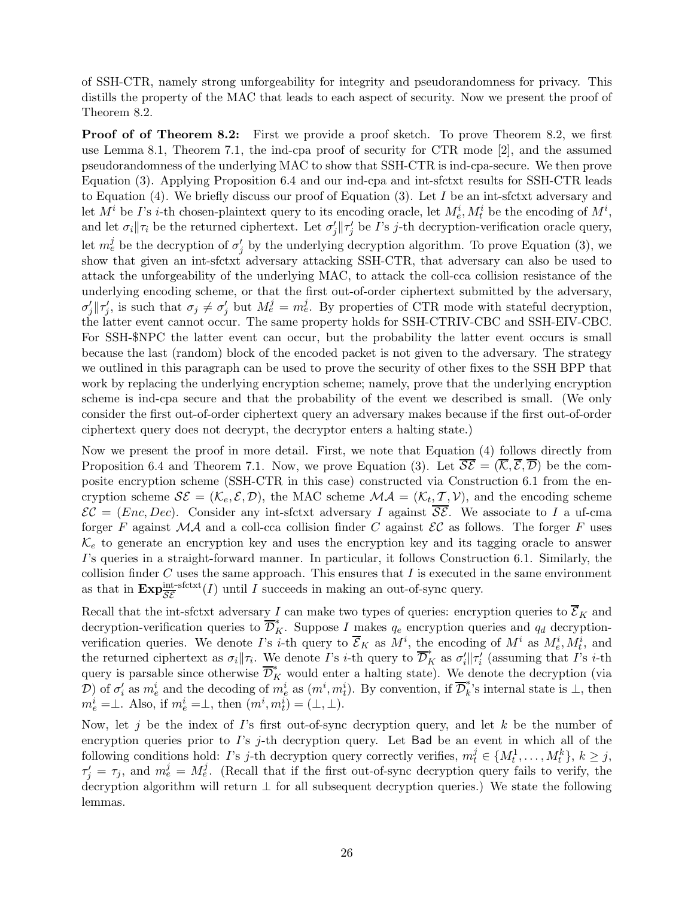of SSH-CTR, namely strong unforgeability for integrity and pseudorandomness for privacy. This distills the property of the MAC that leads to each aspect of security. Now we present the proof of Theorem 8.2.

**Proof of of Theorem 8.2:** First we provide a proof sketch. To prove Theorem 8.2, we first use Lemma 8.1, Theorem 7.1, the ind-cpa proof of security for CTR mode [2], and the assumed pseudorandomness of the underlying MAC to show that SSH-CTR is ind-cpa-secure. We then prove Equation (3). Applying Proposition 6.4 and our ind-cpa and int-sfctxt results for SSH-CTR leads to Equation  $(4)$ . We briefly discuss our proof of Equation  $(3)$ . Let I be an int-sfctxt adversary and let  $M^i$  be *I*'s *i*-th chosen-plaintext query to its encoding oracle, let  $M_e^i, M_t^i$  be the encoding of  $M^i$ , and let  $\sigma_i$   $\|\tau_i$  be the returned ciphertext. Let  $\sigma'_j \|\tau'_j$  be *I*'s *j*-th decryption-verification oracle query, let  $m_e^j$  be the decryption of  $\sigma'_j$  by the underlying decryption algorithm. To prove Equation (3), we show that given an int-sfctxt adversary attacking SSH-CTR, that adversary can also be used to attack the unforgeability of the underlying MAC, to attack the coll-cca collision resistance of the underlying encoding scheme, or that the first out-of-order ciphertext submitted by the adversary,  $\sigma'_j || \tau'_j$ , is such that  $\sigma_j \neq \sigma'_j$  but  $M_e^j = m_e^j$ . By properties of CTR mode with stateful decryption, the latter event cannot occur. The same property holds for SSH-CTRIV-CBC and SSH-EIV-CBC. For SSH-\$NPC the latter event can occur, but the probability the latter event occurs is small because the last (random) block of the encoded packet is not given to the adversary. The strategy we outlined in this paragraph can be used to prove the security of other fixes to the SSH BPP that work by replacing the underlying encryption scheme; namely, prove that the underlying encryption scheme is ind-cpa secure and that the probability of the event we described is small. (We only consider the first out-of-order ciphertext query an adversary makes because if the first out-of-order ciphertext query does not decrypt, the decryptor enters a halting state.)

Now we present the proof in more detail. First, we note that Equation (4) follows directly from Proposition 6.4 and Theorem 7.1. Now, we prove Equation (3). Let  $\overline{\mathcal{S}\mathcal{E}} = (\overline{\mathcal{K}}, \overline{\mathcal{E}}, \overline{\mathcal{D}})$  be the composite encryption scheme (SSH-CTR in this case) constructed via Construction 6.1 from the encryption scheme  $\mathcal{SE} = (\mathcal{K}_e, \mathcal{E}, \mathcal{D})$ , the MAC scheme  $\mathcal{MA} = (\mathcal{K}_t, \mathcal{T}, \mathcal{V})$ , and the encoding scheme  $\mathcal{EC} = (Enc, Dec).$  Consider any int-sfctxt adversary I against  $\overline{\mathcal{SE}}$ . We associate to I a uf-cma forger F against  $\mathcal{MA}$  and a coll-cca collision finder C against  $\mathcal{EC}$  as follows. The forger F uses  $\mathcal{K}_e$  to generate an encryption key and uses the encryption key and its tagging oracle to answer I's queries in a straight-forward manner. In particular, it follows Construction 6.1. Similarly, the collision finder  $C$  uses the same approach. This ensures that  $I$  is executed in the same environment as that in  $\text{Exp}_{\overline{\mathcal{SE}}}^{\text{int-sfctxt}}(I)$  until I succeeds in making an out-of-sync query.

Recall that the int-sfctxt adversary I can make two types of queries: encryption queries to  $\overline{\mathcal{E}}_K$  and decryption-verification queries to  $\overline{\mathcal{D}}_K^*$ . Suppose I makes  $q_e$  encryption queries and  $q_d$  decryptionverification queries. We denote *I*'s *i*-th query to  $\overline{\mathcal{E}}_K$  as  $M^i$ , the encoding of  $M^i$  as  $M_e^i, M_t^i$ , and the returned ciphertext as  $\sigma_i || \tau_i$ . We denote I's *i*-th query to  $\overline{\mathcal{D}}_K^*$  as  $\sigma'_i || \tau'_i$  (assuming that I's *i*-th query is parsable since otherwise  $\overline{\mathcal{D}}_K^*$  would enter a halting state). We denote the decryption (via D) of  $\sigma'_i$  as  $m_e^i$  and the decoding of  $m_e^i$  as  $(m^i, m_t^i)$ . By convention, if  $\overline{\mathcal{D}}_k^*$  $\hat{k}$ 's internal state is  $\perp$ , then  $m_e^i = \perp$ . Also, if  $m_e^i = \perp$ , then  $(m^i, m_t^i) = (\perp, \perp)$ .

Now, let j be the index of I's first out-of-sync decryption query, and let  $k$  be the number of encryption queries prior to  $\Gamma$ 's j-th decryption query. Let Bad be an event in which all of the following conditions hold: I's j-th decryption query correctly verifies,  $m_t^j \in \{M_t^1, \ldots, M_t^k\}, k \ge j$ ,  $\tau'_j = \tau_j$ , and  $m_e^j = M_e^j$ . (Recall that if the first out-of-sync decryption query fails to verify, the decryption algorithm will return ⊥ for all subsequent decryption queries.) We state the following lemmas.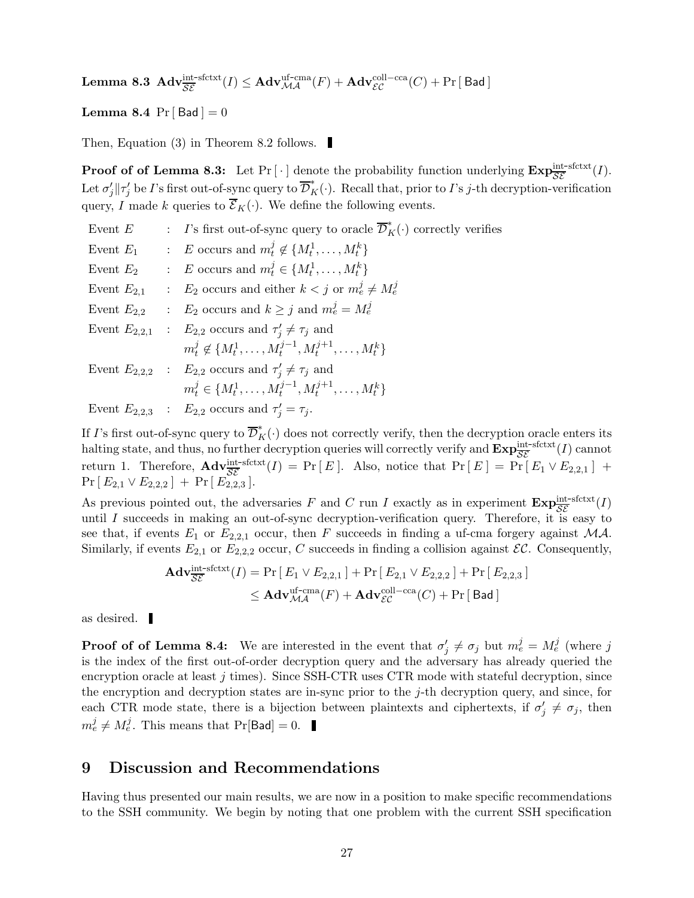Lemma 8.3  $\mathbf{Adv}_{\mathcal{SE}}^{\text{int-sfctxt}}(I) \leq \mathbf{Adv}_{\mathcal{MA}}^{\text{uf-cma}}(F) + \mathbf{Adv}_{\mathcal{EC}}^{\text{coll-cca}}(C) + \Pr\left[\begin{array}{c} \mathsf{Bad} \end{array}\right]$ 

Lemma 8.4  $Pr[$  Bad  $] = 0$ 

Then, Equation (3) in Theorem 8.2 follows.

**Proof of 0 Lemma 8.3:** Let  $Pr[\cdot]$  denote the probability function underlying  $Exp_{\overline{SE}}^{\text{int-}sfctxt}(I)$ . Let  $\sigma'_j||\tau'_j$  be I's first out-of-sync query to  $\overline{\mathcal{D}}_K^*(\cdot)$ . Recall that, prior to I's j-th decryption-verification query, I made k queries to  $\overline{\mathcal{E}}_K(\cdot)$ . We define the following events.

Event E : I's first out-of-sync query to oracle  $\overline{\mathcal{D}}_K^*(\cdot)$  correctly verifies Event  $E_1$  : E occurs and  $m_t^j$  $t^j \notin \{M_t^1, \ldots, M_t^k\}$ Event  $E_2$  : E occurs and  $m_t^j \in \{M_t^1, \ldots, M_t^k\}$ Event  $E_{2,1}$  :  $E_2$  occurs and either  $k < j$  or  $m_e^j \neq M_e^j$ Event  $E_{2,2}$  :  $E_2$  occurs and  $k \geq j$  and  $m_e^j = M_e^j$ Event  $E_{2,2,1}$  :  $E_{2,2}$  occurs and  $\tau'_j \neq \tau_j$  and  $m_t^j$  $t \notin \{M_t^1, \ldots, M_t^{j-1}, M_t^{j+1}, \ldots, M_t^k\}$ Event  $E_{2,2,2}$  :  $E_{2,2}$  occurs and  $\tau'_j \neq \tau_j$  and  $m_t^j \in \{M_t^1, \ldots, M_t^{j-1}, M_t^{j+1}, \ldots, M_t^k\}$ Event  $E_{2,2,3}$  :  $E_{2,2}$  occurs and  $\tau'_j = \tau_j$ .

If I's first out-of-sync query to  $\overline{\mathcal{D}}_K^*(\cdot)$  does not correctly verify, then the decryption oracle enters its halting state, and thus, no further decryption queries will correctly verify and  $\text{Exp}_{\overline{\mathcal{SE}}}^{\text{int-}stext{f}ctext{txt}}(I)$  cannot return 1. Therefore,  $\mathbf{Adv}_{\overline{\mathcal{SE}}}^{\text{int-}s\textrm{f}ct\times t}(I) = \Pr[E]$ . Also, notice that  $\Pr[E] = \Pr[E_1 \vee E_{2,2,1}] +$  $Pr [ E_{2,1} \vee E_{2,2,2} ] + Pr [ E_{2,2,3}^{SE} ].$ 

As previous pointed out, the adversaries F and C run I exactly as in experiment  $\mathbf{Exp}_{\overline{SE}}^{\text{int-sfctxt}}(I)$ until I succeeds in making an out-of-sync decryption-verification query. Therefore, it is easy to see that, if events  $E_1$  or  $E_{2,2,1}$  occur, then F succeeds in finding a uf-cma forgery against  ${\cal MA}$ . Similarly, if events  $E_{2,1}$  or  $E_{2,2,2}$  occur, C succeeds in finding a collision against  $\mathcal{EC}$ . Consequently,

$$
\mathbf{Adv}_{\overline{\mathcal{SE}}}^{\text{int-}s\text{fctxt}}(I) = \Pr\left[\ E_1 \vee E_{2,2,1} \right] + \Pr\left[\ E_{2,1} \vee E_{2,2,2} \right] + \Pr\left[\ E_{2,2,3} \right] \\
 \leq \mathbf{Adv}_{\mathcal{MA}}^{\text{uf-cma}}(F) + \mathbf{Adv}_{\mathcal{EC}}^{\text{coll-cca}}(C) + \Pr\left[\ \mathsf{Bad} \right]
$$

as desired.

**Proof of Lemma 8.4:** We are interested in the event that  $\sigma'_j \neq \sigma_j$  but  $m_e^j = M_e^j$  (where j is the index of the first out-of-order decryption query and the adversary has already queried the encryption oracle at least  $j$  times). Since SSH-CTR uses CTR mode with stateful decryption, since the encryption and decryption states are in-sync prior to the j-th decryption query, and since, for each CTR mode state, there is a bijection between plaintexts and ciphertexts, if  $\sigma'_j \neq \sigma_j$ , then  $m_e^j \neq M_e^j$ . This means that Pr[Bad] = 0.

## 9 Discussion and Recommendations

Having thus presented our main results, we are now in a position to make specific recommendations to the SSH community. We begin by noting that one problem with the current SSH specification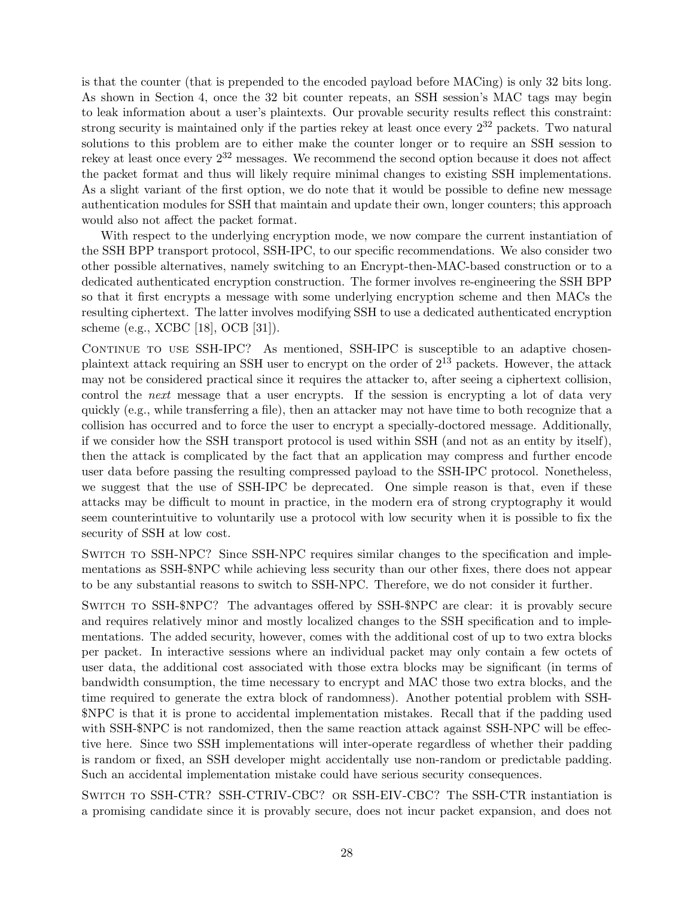is that the counter (that is prepended to the encoded payload before MACing) is only 32 bits long. As shown in Section 4, once the 32 bit counter repeats, an SSH session's MAC tags may begin to leak information about a user's plaintexts. Our provable security results reflect this constraint: strong security is maintained only if the parties rekey at least once every  $2^{32}$  packets. Two natural solutions to this problem are to either make the counter longer or to require an SSH session to rekey at least once every  $2^{32}$  messages. We recommend the second option because it does not affect the packet format and thus will likely require minimal changes to existing SSH implementations. As a slight variant of the first option, we do note that it would be possible to define new message authentication modules for SSH that maintain and update their own, longer counters; this approach would also not affect the packet format.

With respect to the underlying encryption mode, we now compare the current instantiation of the SSH BPP transport protocol, SSH-IPC, to our specific recommendations. We also consider two other possible alternatives, namely switching to an Encrypt-then-MAC-based construction or to a dedicated authenticated encryption construction. The former involves re-engineering the SSH BPP so that it first encrypts a message with some underlying encryption scheme and then MACs the resulting ciphertext. The latter involves modifying SSH to use a dedicated authenticated encryption scheme (e.g., XCBC [18], OCB [31]).

CONTINUE TO USE SSH-IPC? As mentioned, SSH-IPC is susceptible to an adaptive chosenplaintext attack requiring an SSH user to encrypt on the order of  $2^{13}$  packets. However, the attack may not be considered practical since it requires the attacker to, after seeing a ciphertext collision, control the *next* message that a user encrypts. If the session is encrypting a lot of data very quickly (e.g., while transferring a file), then an attacker may not have time to both recognize that a collision has occurred and to force the user to encrypt a specially-doctored message. Additionally, if we consider how the SSH transport protocol is used within SSH (and not as an entity by itself), then the attack is complicated by the fact that an application may compress and further encode user data before passing the resulting compressed payload to the SSH-IPC protocol. Nonetheless, we suggest that the use of SSH-IPC be deprecated. One simple reason is that, even if these attacks may be difficult to mount in practice, in the modern era of strong cryptography it would seem counterintuitive to voluntarily use a protocol with low security when it is possible to fix the security of SSH at low cost.

Switch to SSH-NPC? Since SSH-NPC requires similar changes to the specification and implementations as SSH-\$NPC while achieving less security than our other fixes, there does not appear to be any substantial reasons to switch to SSH-NPC. Therefore, we do not consider it further.

Switch to SSH-\$NPC? The advantages offered by SSH-\$NPC are clear: it is provably secure and requires relatively minor and mostly localized changes to the SSH specification and to implementations. The added security, however, comes with the additional cost of up to two extra blocks per packet. In interactive sessions where an individual packet may only contain a few octets of user data, the additional cost associated with those extra blocks may be significant (in terms of bandwidth consumption, the time necessary to encrypt and MAC those two extra blocks, and the time required to generate the extra block of randomness). Another potential problem with SSH- \$NPC is that it is prone to accidental implementation mistakes. Recall that if the padding used with SSH-\$NPC is not randomized, then the same reaction attack against SSH-NPC will be effective here. Since two SSH implementations will inter-operate regardless of whether their padding is random or fixed, an SSH developer might accidentally use non-random or predictable padding. Such an accidental implementation mistake could have serious security consequences.

Switch to SSH-CTR? SSH-CTRIV-CBC? or SSH-EIV-CBC? The SSH-CTR instantiation is a promising candidate since it is provably secure, does not incur packet expansion, and does not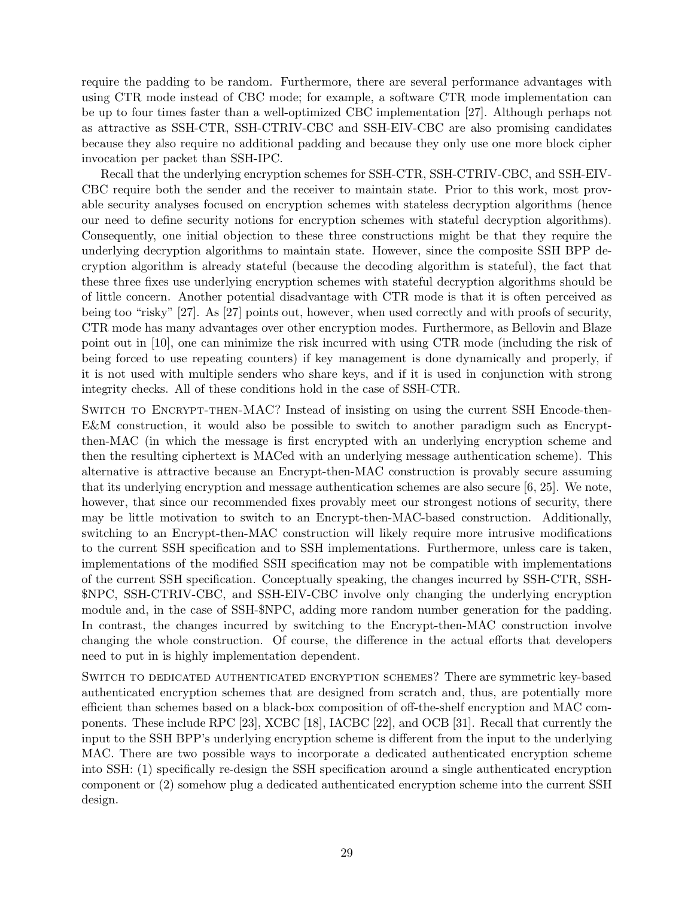require the padding to be random. Furthermore, there are several performance advantages with using CTR mode instead of CBC mode; for example, a software CTR mode implementation can be up to four times faster than a well-optimized CBC implementation [27]. Although perhaps not as attractive as SSH-CTR, SSH-CTRIV-CBC and SSH-EIV-CBC are also promising candidates because they also require no additional padding and because they only use one more block cipher invocation per packet than SSH-IPC.

Recall that the underlying encryption schemes for SSH-CTR, SSH-CTRIV-CBC, and SSH-EIV-CBC require both the sender and the receiver to maintain state. Prior to this work, most provable security analyses focused on encryption schemes with stateless decryption algorithms (hence our need to define security notions for encryption schemes with stateful decryption algorithms). Consequently, one initial objection to these three constructions might be that they require the underlying decryption algorithms to maintain state. However, since the composite SSH BPP decryption algorithm is already stateful (because the decoding algorithm is stateful), the fact that these three fixes use underlying encryption schemes with stateful decryption algorithms should be of little concern. Another potential disadvantage with CTR mode is that it is often perceived as being too "risky" [27]. As [27] points out, however, when used correctly and with proofs of security, CTR mode has many advantages over other encryption modes. Furthermore, as Bellovin and Blaze point out in [10], one can minimize the risk incurred with using CTR mode (including the risk of being forced to use repeating counters) if key management is done dynamically and properly, if it is not used with multiple senders who share keys, and if it is used in conjunction with strong integrity checks. All of these conditions hold in the case of SSH-CTR.

SWITCH TO ENCRYPT-THEN-MAC? Instead of insisting on using the current SSH Encode-then-E&M construction, it would also be possible to switch to another paradigm such as Encryptthen-MAC (in which the message is first encrypted with an underlying encryption scheme and then the resulting ciphertext is MACed with an underlying message authentication scheme). This alternative is attractive because an Encrypt-then-MAC construction is provably secure assuming that its underlying encryption and message authentication schemes are also secure [6, 25]. We note, however, that since our recommended fixes provably meet our strongest notions of security, there may be little motivation to switch to an Encrypt-then-MAC-based construction. Additionally, switching to an Encrypt-then-MAC construction will likely require more intrusive modifications to the current SSH specification and to SSH implementations. Furthermore, unless care is taken, implementations of the modified SSH specification may not be compatible with implementations of the current SSH specification. Conceptually speaking, the changes incurred by SSH-CTR, SSH- \$NPC, SSH-CTRIV-CBC, and SSH-EIV-CBC involve only changing the underlying encryption module and, in the case of SSH-\$NPC, adding more random number generation for the padding. In contrast, the changes incurred by switching to the Encrypt-then-MAC construction involve changing the whole construction. Of course, the difference in the actual efforts that developers need to put in is highly implementation dependent.

Switch to dedicated authenticated encryption schemes? There are symmetric key-based authenticated encryption schemes that are designed from scratch and, thus, are potentially more efficient than schemes based on a black-box composition of off-the-shelf encryption and MAC components. These include RPC [23], XCBC [18], IACBC [22], and OCB [31]. Recall that currently the input to the SSH BPP's underlying encryption scheme is different from the input to the underlying MAC. There are two possible ways to incorporate a dedicated authenticated encryption scheme into SSH: (1) specifically re-design the SSH specification around a single authenticated encryption component or (2) somehow plug a dedicated authenticated encryption scheme into the current SSH design.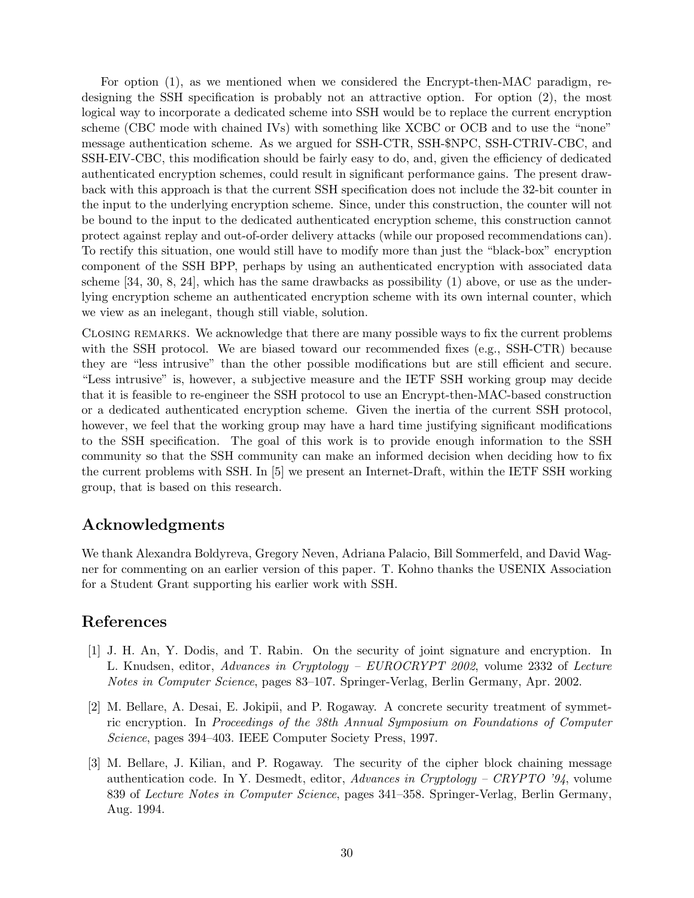For option (1), as we mentioned when we considered the Encrypt-then-MAC paradigm, redesigning the SSH specification is probably not an attractive option. For option (2), the most logical way to incorporate a dedicated scheme into SSH would be to replace the current encryption scheme (CBC mode with chained IVs) with something like XCBC or OCB and to use the "none" message authentication scheme. As we argued for SSH-CTR, SSH-\$NPC, SSH-CTRIV-CBC, and SSH-EIV-CBC, this modification should be fairly easy to do, and, given the efficiency of dedicated authenticated encryption schemes, could result in significant performance gains. The present drawback with this approach is that the current SSH specification does not include the 32-bit counter in the input to the underlying encryption scheme. Since, under this construction, the counter will not be bound to the input to the dedicated authenticated encryption scheme, this construction cannot protect against replay and out-of-order delivery attacks (while our proposed recommendations can). To rectify this situation, one would still have to modify more than just the "black-box" encryption component of the SSH BPP, perhaps by using an authenticated encryption with associated data scheme [34, 30, 8, 24], which has the same drawbacks as possibility (1) above, or use as the underlying encryption scheme an authenticated encryption scheme with its own internal counter, which we view as an inelegant, though still viable, solution.

CLOSING REMARKS. We acknowledge that there are many possible ways to fix the current problems with the SSH protocol. We are biased toward our recommended fixes (e.g., SSH-CTR) because they are "less intrusive" than the other possible modifications but are still efficient and secure. "Less intrusive" is, however, a subjective measure and the IETF SSH working group may decide that it is feasible to re-engineer the SSH protocol to use an Encrypt-then-MAC-based construction or a dedicated authenticated encryption scheme. Given the inertia of the current SSH protocol, however, we feel that the working group may have a hard time justifying significant modifications to the SSH specification. The goal of this work is to provide enough information to the SSH community so that the SSH community can make an informed decision when deciding how to fix the current problems with SSH. In [5] we present an Internet-Draft, within the IETF SSH working group, that is based on this research.

# Acknowledgments

We thank Alexandra Boldyreva, Gregory Neven, Adriana Palacio, Bill Sommerfeld, and David Wagner for commenting on an earlier version of this paper. T. Kohno thanks the USENIX Association for a Student Grant supporting his earlier work with SSH.

# References

- [1] J. H. An, Y. Dodis, and T. Rabin. On the security of joint signature and encryption. In L. Knudsen, editor, Advances in Cryptology – EUROCRYPT 2002, volume 2332 of Lecture Notes in Computer Science, pages 83–107. Springer-Verlag, Berlin Germany, Apr. 2002.
- [2] M. Bellare, A. Desai, E. Jokipii, and P. Rogaway. A concrete security treatment of symmetric encryption. In Proceedings of the 38th Annual Symposium on Foundations of Computer Science, pages 394–403. IEEE Computer Society Press, 1997.
- [3] M. Bellare, J. Kilian, and P. Rogaway. The security of the cipher block chaining message authentication code. In Y. Desmedt, editor, Advances in Cryptology – CRYPTO '94, volume 839 of Lecture Notes in Computer Science, pages 341–358. Springer-Verlag, Berlin Germany, Aug. 1994.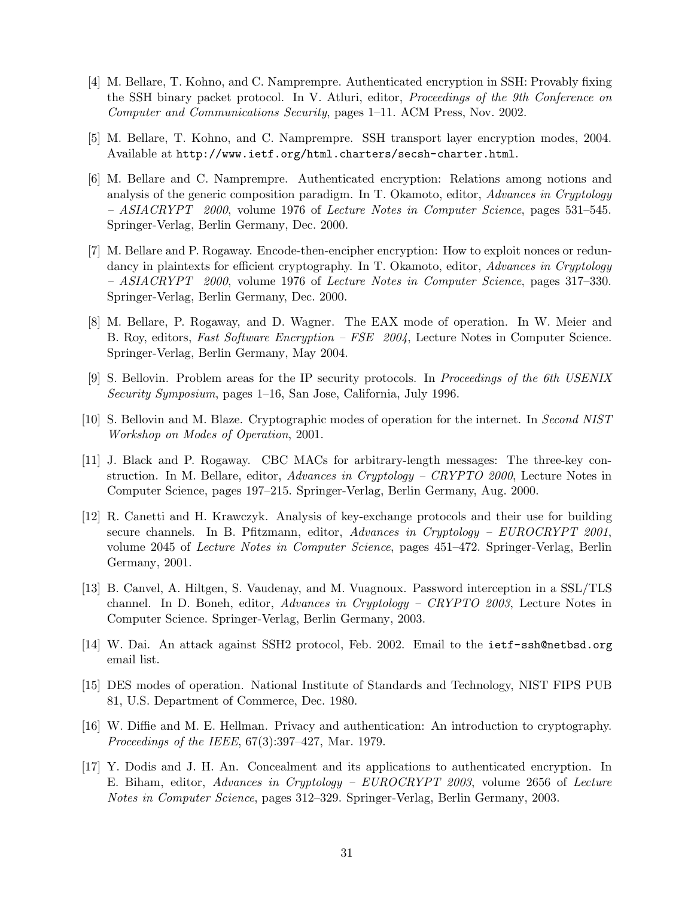- [4] M. Bellare, T. Kohno, and C. Namprempre. Authenticated encryption in SSH: Provably fixing the SSH binary packet protocol. In V. Atluri, editor, Proceedings of the 9th Conference on Computer and Communications Security, pages 1–11. ACM Press, Nov. 2002.
- [5] M. Bellare, T. Kohno, and C. Namprempre. SSH transport layer encryption modes, 2004. Available at http://www.ietf.org/html.charters/secsh-charter.html.
- [6] M. Bellare and C. Namprempre. Authenticated encryption: Relations among notions and analysis of the generic composition paradigm. In T. Okamoto, editor, Advances in Cryptology  $-$  ASIACRYPT 2000, volume 1976 of Lecture Notes in Computer Science, pages 531–545. Springer-Verlag, Berlin Germany, Dec. 2000.
- [7] M. Bellare and P. Rogaway. Encode-then-encipher encryption: How to exploit nonces or redundancy in plaintexts for efficient cryptography. In T. Okamoto, editor, Advances in Cryptology – ASIACRYPT 2000, volume 1976 of Lecture Notes in Computer Science, pages 317–330. Springer-Verlag, Berlin Germany, Dec. 2000.
- [8] M. Bellare, P. Rogaway, and D. Wagner. The EAX mode of operation. In W. Meier and B. Roy, editors, Fast Software Encryption – FSE 2004, Lecture Notes in Computer Science. Springer-Verlag, Berlin Germany, May 2004.
- [9] S. Bellovin. Problem areas for the IP security protocols. In Proceedings of the 6th USENIX Security Symposium, pages 1–16, San Jose, California, July 1996.
- [10] S. Bellovin and M. Blaze. Cryptographic modes of operation for the internet. In Second NIST Workshop on Modes of Operation, 2001.
- [11] J. Black and P. Rogaway. CBC MACs for arbitrary-length messages: The three-key construction. In M. Bellare, editor, Advances in Cryptology – CRYPTO 2000, Lecture Notes in Computer Science, pages 197–215. Springer-Verlag, Berlin Germany, Aug. 2000.
- [12] R. Canetti and H. Krawczyk. Analysis of key-exchange protocols and their use for building secure channels. In B. Pfitzmann, editor, Advances in Cryptology – EUROCRYPT 2001, volume 2045 of Lecture Notes in Computer Science, pages 451–472. Springer-Verlag, Berlin Germany, 2001.
- [13] B. Canvel, A. Hiltgen, S. Vaudenay, and M. Vuagnoux. Password interception in a SSL/TLS channel. In D. Boneh, editor, Advances in Cryptology – CRYPTO 2003, Lecture Notes in Computer Science. Springer-Verlag, Berlin Germany, 2003.
- [14] W. Dai. An attack against SSH2 protocol, Feb. 2002. Email to the ietf-ssh@netbsd.org email list.
- [15] DES modes of operation. National Institute of Standards and Technology, NIST FIPS PUB 81, U.S. Department of Commerce, Dec. 1980.
- [16] W. Diffie and M. E. Hellman. Privacy and authentication: An introduction to cryptography. Proceedings of the IEEE, 67(3):397–427, Mar. 1979.
- [17] Y. Dodis and J. H. An. Concealment and its applications to authenticated encryption. In E. Biham, editor, Advances in Cryptology – EUROCRYPT 2003, volume 2656 of Lecture Notes in Computer Science, pages 312–329. Springer-Verlag, Berlin Germany, 2003.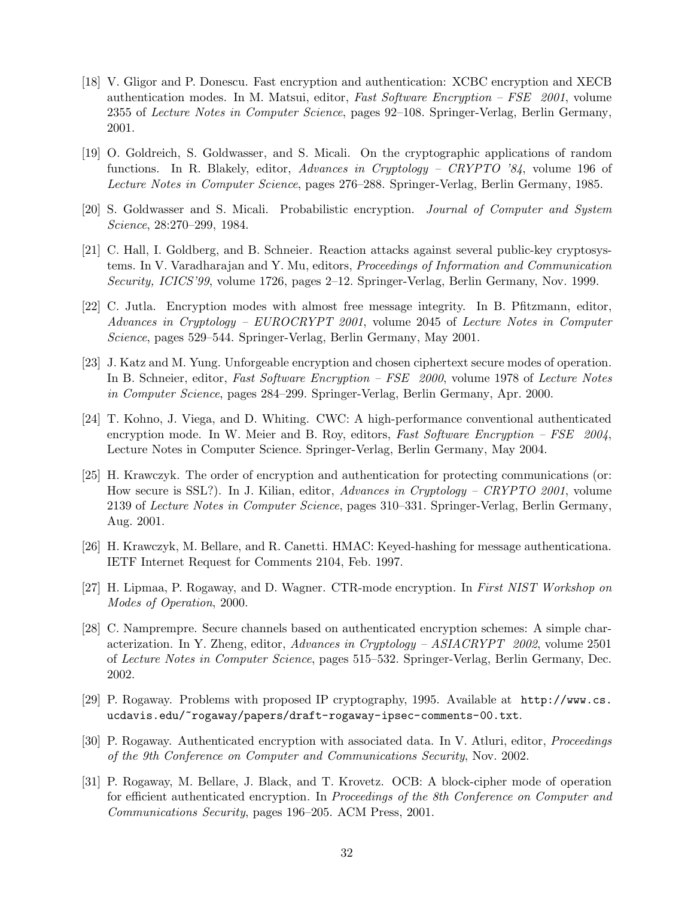- [18] V. Gligor and P. Donescu. Fast encryption and authentication: XCBC encryption and XECB authentication modes. In M. Matsui, editor, Fast Software Encryption –  $FSE$  2001, volume 2355 of Lecture Notes in Computer Science, pages 92–108. Springer-Verlag, Berlin Germany, 2001.
- [19] O. Goldreich, S. Goldwasser, and S. Micali. On the cryptographic applications of random functions. In R. Blakely, editor, Advances in Cryptology – CRYPTO '84, volume 196 of Lecture Notes in Computer Science, pages 276–288. Springer-Verlag, Berlin Germany, 1985.
- [20] S. Goldwasser and S. Micali. Probabilistic encryption. Journal of Computer and System Science, 28:270–299, 1984.
- [21] C. Hall, I. Goldberg, and B. Schneier. Reaction attacks against several public-key cryptosystems. In V. Varadharajan and Y. Mu, editors, Proceedings of Information and Communication Security, ICICS'99, volume 1726, pages 2–12. Springer-Verlag, Berlin Germany, Nov. 1999.
- [22] C. Jutla. Encryption modes with almost free message integrity. In B. Pfitzmann, editor, Advances in Cryptology – EUROCRYPT 2001, volume 2045 of Lecture Notes in Computer Science, pages 529–544. Springer-Verlag, Berlin Germany, May 2001.
- [23] J. Katz and M. Yung. Unforgeable encryption and chosen ciphertext secure modes of operation. In B. Schneier, editor, Fast Software Encryption – FSE 2000, volume 1978 of Lecture Notes in Computer Science, pages 284–299. Springer-Verlag, Berlin Germany, Apr. 2000.
- [24] T. Kohno, J. Viega, and D. Whiting. CWC: A high-performance conventional authenticated encryption mode. In W. Meier and B. Roy, editors, Fast Software Encryption –  $FSE$  2004, Lecture Notes in Computer Science. Springer-Verlag, Berlin Germany, May 2004.
- [25] H. Krawczyk. The order of encryption and authentication for protecting communications (or: How secure is SSL?). In J. Kilian, editor, Advances in Cryptology – CRYPTO 2001, volume 2139 of Lecture Notes in Computer Science, pages 310–331. Springer-Verlag, Berlin Germany, Aug. 2001.
- [26] H. Krawczyk, M. Bellare, and R. Canetti. HMAC: Keyed-hashing for message authenticationa. IETF Internet Request for Comments 2104, Feb. 1997.
- [27] H. Lipmaa, P. Rogaway, and D. Wagner. CTR-mode encryption. In First NIST Workshop on Modes of Operation, 2000.
- [28] C. Namprempre. Secure channels based on authenticated encryption schemes: A simple characterization. In Y. Zheng, editor, Advances in Cryptology – ASIACRYPT 2002, volume 2501 of Lecture Notes in Computer Science, pages 515–532. Springer-Verlag, Berlin Germany, Dec. 2002.
- [29] P. Rogaway. Problems with proposed IP cryptography, 1995. Available at http://www.cs. ucdavis.edu/~rogaway/papers/draft-rogaway-ipsec-comments-00.txt.
- [30] P. Rogaway. Authenticated encryption with associated data. In V. Atluri, editor, Proceedings of the 9th Conference on Computer and Communications Security, Nov. 2002.
- [31] P. Rogaway, M. Bellare, J. Black, and T. Krovetz. OCB: A block-cipher mode of operation for efficient authenticated encryption. In Proceedings of the 8th Conference on Computer and Communications Security, pages 196–205. ACM Press, 2001.